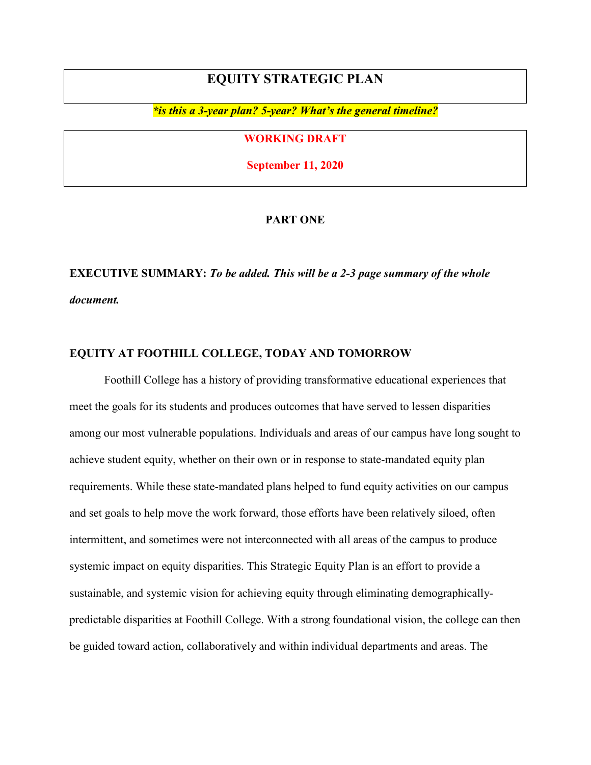# **EQUITY STRATEGIC PLAN**

*\*is this a 3-year plan? 5-year? What's the general timeline?*

## **WORKING DRAFT**

**September 11, 2020**

### **PART ONE**

# **EXECUTIVE SUMMARY:** *To be added. This will be a 2-3 page summary of the whole document.*

## **EQUITY AT FOOTHILL COLLEGE, TODAY AND TOMORROW**

Foothill College has a history of providing transformative educational experiences that meet the goals for its students and produces outcomes that have served to lessen disparities among our most vulnerable populations. Individuals and areas of our campus have long sought to achieve student equity, whether on their own or in response to state-mandated equity plan requirements. While these state-mandated plans helped to fund equity activities on our campus and set goals to help move the work forward, those efforts have been relatively siloed, often intermittent, and sometimes were not interconnected with all areas of the campus to produce systemic impact on equity disparities. This Strategic Equity Plan is an effort to provide a sustainable, and systemic vision for achieving equity through eliminating demographicallypredictable disparities at Foothill College. With a strong foundational vision, the college can then be guided toward action, collaboratively and within individual departments and areas. The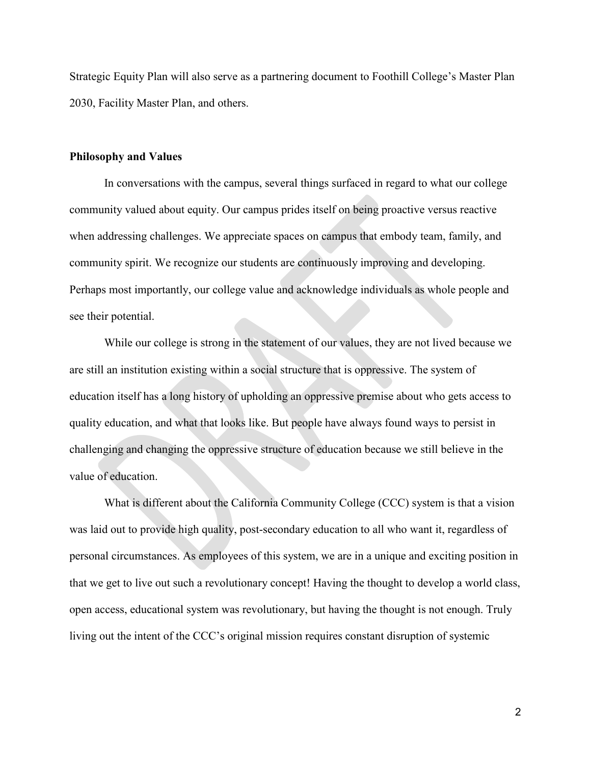Strategic Equity Plan will also serve as a partnering document to Foothill College's Master Plan 2030, Facility Master Plan, and others.

#### **Philosophy and Values**

In conversations with the campus, several things surfaced in regard to what our college community valued about equity. Our campus prides itself on being proactive versus reactive when addressing challenges. We appreciate spaces on campus that embody team, family, and community spirit. We recognize our students are continuously improving and developing. Perhaps most importantly, our college value and acknowledge individuals as whole people and see their potential.

While our college is strong in the statement of our values, they are not lived because we are still an institution existing within a social structure that is oppressive. The system of education itself has a long history of upholding an oppressive premise about who gets access to quality education, and what that looks like. But people have always found ways to persist in challenging and changing the oppressive structure of education because we still believe in the value of education.

What is different about the California Community College (CCC) system is that a vision was laid out to provide high quality, post-secondary education to all who want it, regardless of personal circumstances. As employees of this system, we are in a unique and exciting position in that we get to live out such a revolutionary concept! Having the thought to develop a world class, open access, educational system was revolutionary, but having the thought is not enough. Truly living out the intent of the CCC's original mission requires constant disruption of systemic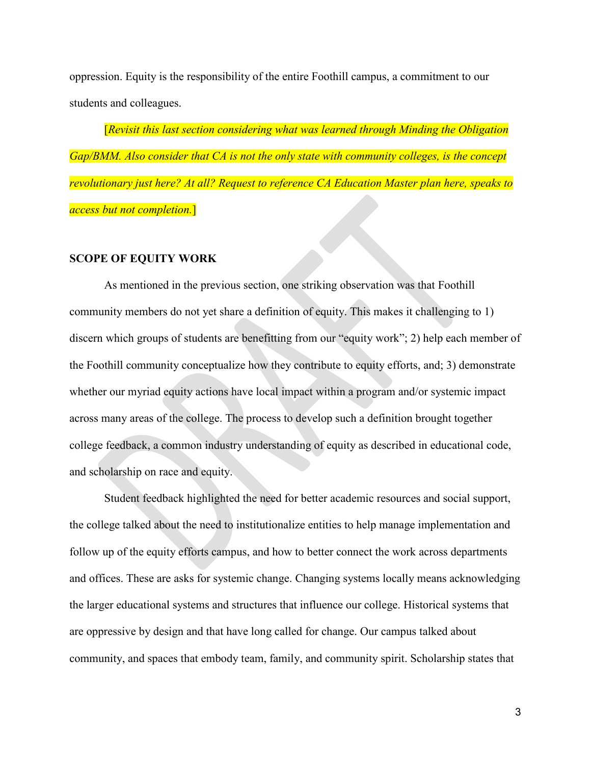oppression. Equity is the responsibility of the entire Foothill campus, a commitment to our students and colleagues.

[*Revisit this last section considering what was learned through Minding the Obligation Gap/BMM. Also consider that CA is not the only state with community colleges, is the concept revolutionary just here? At all? Request to reference CA Education Master plan here, speaks to access but not completion.*]

#### **SCOPE OF EQUITY WORK**

As mentioned in the previous section, one striking observation was that Foothill community members do not yet share a definition of equity. This makes it challenging to 1) discern which groups of students are benefitting from our "equity work"; 2) help each member of the Foothill community conceptualize how they contribute to equity efforts, and; 3) demonstrate whether our myriad equity actions have local impact within a program and/or systemic impact across many areas of the college. The process to develop such a definition brought together college feedback, a common industry understanding of equity as described in educational code, and scholarship on race and equity.

Student feedback highlighted the need for better academic resources and social support, the college talked about the need to institutionalize entities to help manage implementation and follow up of the equity efforts campus, and how to better connect the work across departments and offices. These are asks for systemic change. Changing systems locally means acknowledging the larger educational systems and structures that influence our college. Historical systems that are oppressive by design and that have long called for change. Our campus talked about community, and spaces that embody team, family, and community spirit. Scholarship states that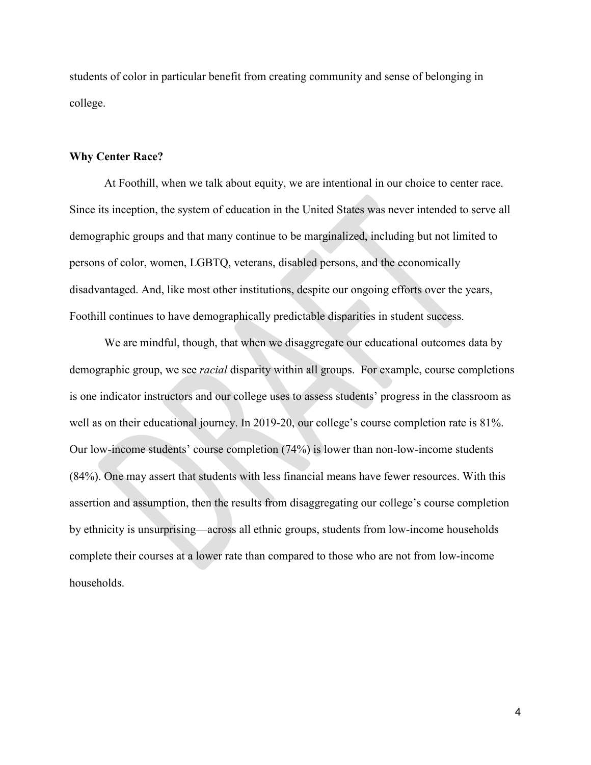students of color in particular benefit from creating community and sense of belonging in college.

#### **Why Center Race?**

At Foothill, when we talk about equity, we are intentional in our choice to center race. Since its inception, the system of education in the United States was never intended to serve all demographic groups and that many continue to be marginalized, including but not limited to persons of color, women, LGBTQ, veterans, disabled persons, and the economically disadvantaged. And, like most other institutions, despite our ongoing efforts over the years, Foothill continues to have demographically predictable disparities in student success.

We are mindful, though, that when we disaggregate our educational outcomes data by demographic group, we see *racial* disparity within all groups. For example, course completions is one indicator instructors and our college uses to assess students' progress in the classroom as well as on their educational journey. In 2019-20, our college's course completion rate is 81%. Our low-income students' course completion (74%) is lower than non-low-income students (84%). One may assert that students with less financial means have fewer resources. With this assertion and assumption, then the results from disaggregating our college's course completion by ethnicity is unsurprising—across all ethnic groups, students from low-income households complete their courses at a lower rate than compared to those who are not from low-income households.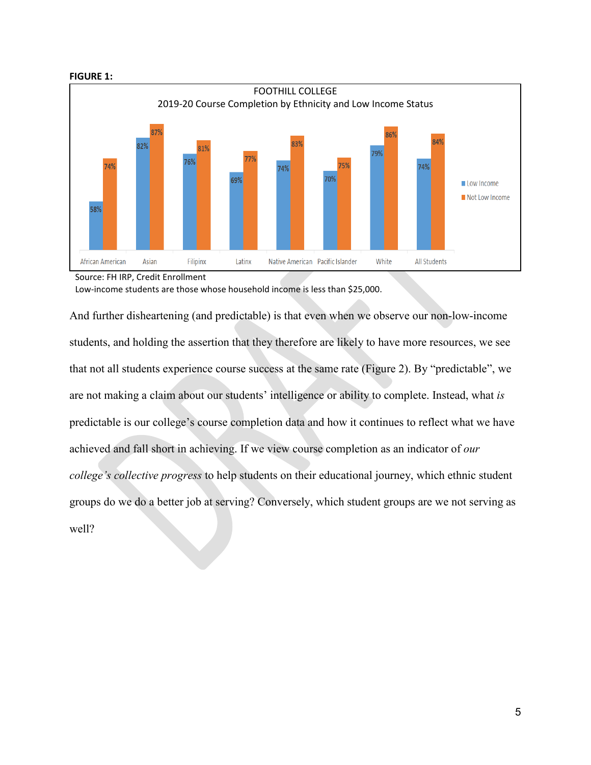



Source: FH IRP, Credit Enrollment

Low-income students are those whose household income is less than \$25,000.

And further disheartening (and predictable) is that even when we observe our non-low-income students, and holding the assertion that they therefore are likely to have more resources, we see that not all students experience course success at the same rate (Figure 2). By "predictable", we are not making a claim about our students' intelligence or ability to complete. Instead, what *is*  predictable is our college's course completion data and how it continues to reflect what we have achieved and fall short in achieving. If we view course completion as an indicator of *our college's collective progress* to help students on their educational journey, which ethnic student groups do we do a better job at serving? Conversely, which student groups are we not serving as well?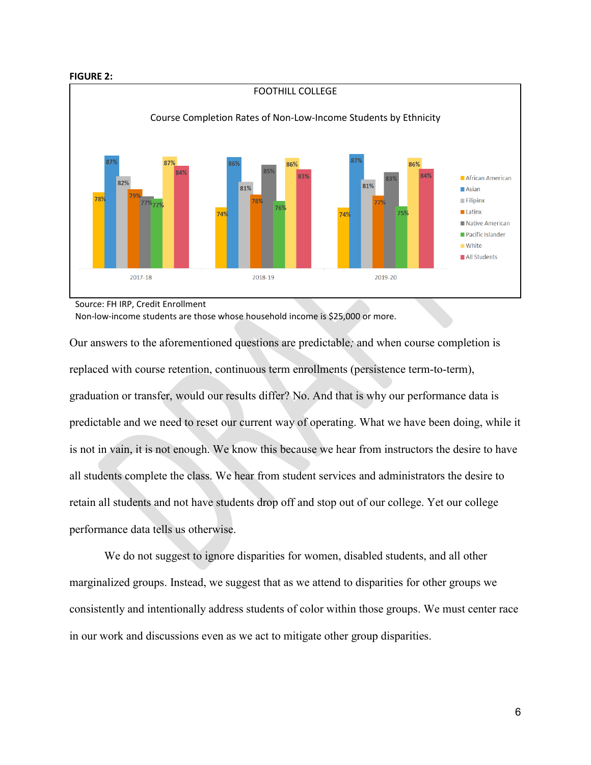#### **FIGURE 2:**



Source: FH IRP, Credit Enrollment

Non-low-income students are those whose household income is \$25,000 or more.

Our answers to the aforementioned questions are predictable*;* and when course completion is replaced with course retention, continuous term enrollments (persistence term-to-term), graduation or transfer, would our results differ? No. And that is why our performance data is predictable and we need to reset our current way of operating. What we have been doing, while it is not in vain, it is not enough. We know this because we hear from instructors the desire to have all students complete the class. We hear from student services and administrators the desire to retain all students and not have students drop off and stop out of our college. Yet our college performance data tells us otherwise.

We do not suggest to ignore disparities for women, disabled students, and all other marginalized groups. Instead, we suggest that as we attend to disparities for other groups we consistently and intentionally address students of color within those groups. We must center race in our work and discussions even as we act to mitigate other group disparities.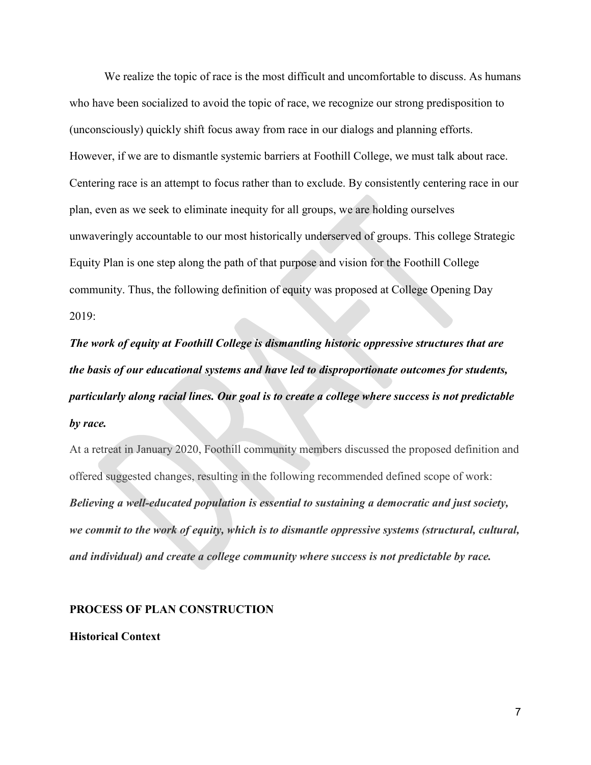We realize the topic of race is the most difficult and uncomfortable to discuss. As humans who have been socialized to avoid the topic of race, we recognize our strong predisposition to (unconsciously) quickly shift focus away from race in our dialogs and planning efforts. However, if we are to dismantle systemic barriers at Foothill College, we must talk about race. Centering race is an attempt to focus rather than to exclude. By consistently centering race in our plan, even as we seek to eliminate inequity for all groups, we are holding ourselves unwaveringly accountable to our most historically underserved of groups. This college Strategic Equity Plan is one step along the path of that purpose and vision for the Foothill College community. Thus, the following definition of equity was proposed at College Opening Day 2019:

*The work of equity at Foothill College is dismantling historic oppressive structures that are the basis of our educational systems and have led to disproportionate outcomes for students, particularly along racial lines. Our goal is to create a college where success is not predictable by race.*

At a retreat in January 2020, Foothill community members discussed the proposed definition and offered suggested changes, resulting in the following recommended defined scope of work: *Believing a well-educated population is essential to sustaining a democratic and just society, we commit to the work of equity, which is to dismantle oppressive systems (structural, cultural, and individual) and create a college community where success is not predictable by race.*

#### **PROCESS OF PLAN CONSTRUCTION**

#### **Historical Context**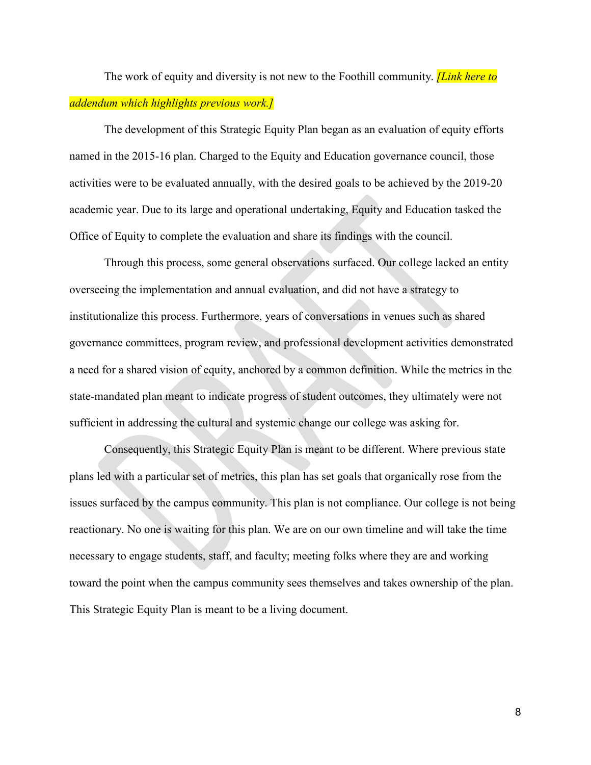The work of equity and diversity is not new to the Foothill community. *[Link here to addendum which highlights previous work.]*

The development of this Strategic Equity Plan began as an evaluation of equity efforts named in the 2015-16 plan. Charged to the Equity and Education governance council, those activities were to be evaluated annually, with the desired goals to be achieved by the 2019-20 academic year. Due to its large and operational undertaking, Equity and Education tasked the Office of Equity to complete the evaluation and share its findings with the council.

Through this process, some general observations surfaced. Our college lacked an entity overseeing the implementation and annual evaluation, and did not have a strategy to institutionalize this process. Furthermore, years of conversations in venues such as shared governance committees, program review, and professional development activities demonstrated a need for a shared vision of equity, anchored by a common definition. While the metrics in the state-mandated plan meant to indicate progress of student outcomes, they ultimately were not sufficient in addressing the cultural and systemic change our college was asking for.

Consequently, this Strategic Equity Plan is meant to be different. Where previous state plans led with a particular set of metrics, this plan has set goals that organically rose from the issues surfaced by the campus community. This plan is not compliance. Our college is not being reactionary. No one is waiting for this plan. We are on our own timeline and will take the time necessary to engage students, staff, and faculty; meeting folks where they are and working toward the point when the campus community sees themselves and takes ownership of the plan. This Strategic Equity Plan is meant to be a living document.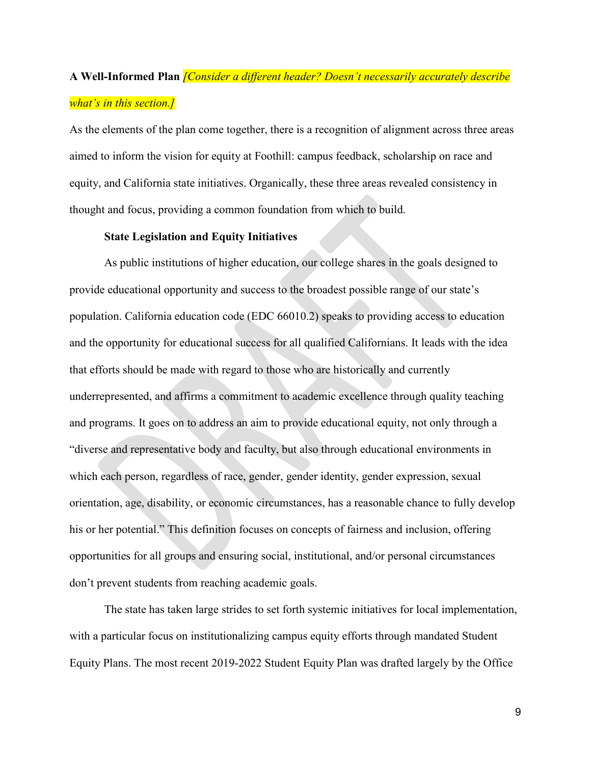# **A Well-Informed Plan** *[Consider a different header? Doesn't necessarily accurately describe what's in this section.]*

As the elements of the plan come together, there is a recognition of alignment across three areas aimed to inform the vision for equity at Foothill: campus feedback, scholarship on race and equity, and California state initiatives. Organically, these three areas revealed consistency in thought and focus, providing a common foundation from which to build.

#### **State Legislation and Equity Initiatives**

As public institutions of higher education, our college shares in the goals designed to provide educational opportunity and success to the broadest possible range of our state's population. California education code (EDC 66010.2) speaks to providing access to education and the opportunity for educational success for all qualified Californians. It leads with the idea that efforts should be made with regard to those who are historically and currently underrepresented, and affirms a commitment to academic excellence through quality teaching and programs. It goes on to address an aim to provide educational equity, not only through a "diverse and representative body and faculty, but also through educational environments in which each person, regardless of race, gender, gender identity, gender expression, sexual orientation, age, disability, or economic circumstances, has a reasonable chance to fully develop his or her potential." This definition focuses on concepts of fairness and inclusion, offering opportunities for all groups and ensuring social, institutional, and/or personal circumstances don't prevent students from reaching academic goals.

The state has taken large strides to set forth systemic initiatives for local implementation, with a particular focus on institutionalizing campus equity efforts through mandated Student Equity Plans. The most recent 2019-2022 Student Equity Plan was drafted largely by the Office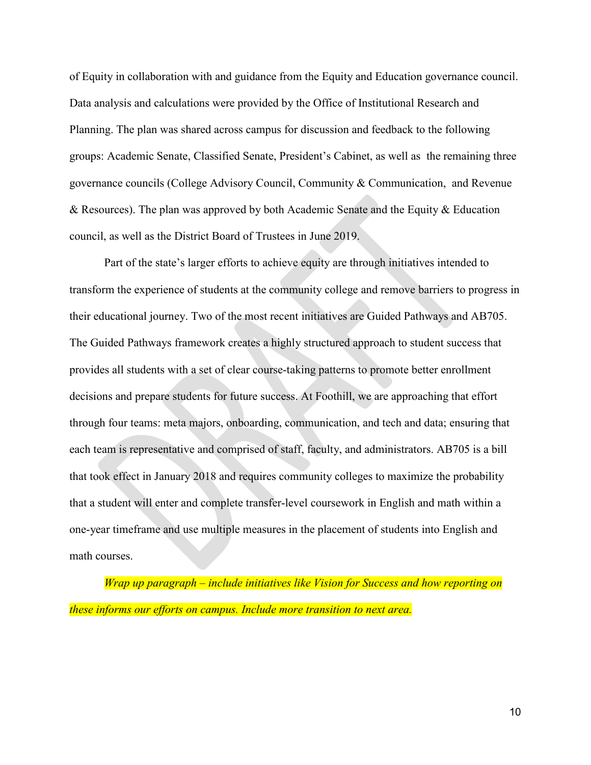of Equity in collaboration with and guidance from the Equity and Education governance council. Data analysis and calculations were provided by the Office of Institutional Research and Planning. The plan was shared across campus for discussion and feedback to the following groups: Academic Senate, Classified Senate, President's Cabinet, as well as the remaining three governance councils (College Advisory Council, Community & Communication, and Revenue & Resources). The plan was approved by both Academic Senate and the Equity & Education council, as well as the District Board of Trustees in June 2019.

Part of the state's larger efforts to achieve equity are through initiatives intended to transform the experience of students at the community college and remove barriers to progress in their educational journey. Two of the most recent initiatives are Guided Pathways and AB705. The Guided Pathways framework creates a highly structured approach to student success that provides all students with a set of clear course-taking patterns to promote better enrollment decisions and prepare students for future success. At Foothill, we are approaching that effort through four teams: meta majors, onboarding, communication, and tech and data; ensuring that each team is representative and comprised of staff, faculty, and administrators. AB705 is a bill that took effect in January 2018 and requires community colleges to maximize the probability that a student will enter and complete transfer-level coursework in English and math within a one-year timeframe and use multiple measures in the placement of students into English and math courses.

*Wrap up paragraph – include initiatives like Vision for Success and how reporting on these informs our efforts on campus. Include more transition to next area.*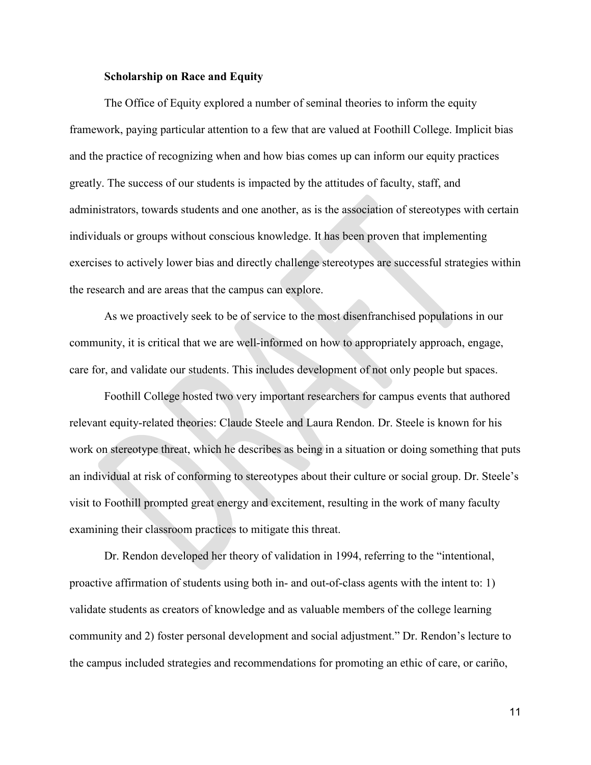#### **Scholarship on Race and Equity**

The Office of Equity explored a number of seminal theories to inform the equity framework, paying particular attention to a few that are valued at Foothill College. Implicit bias and the practice of recognizing when and how bias comes up can inform our equity practices greatly. The success of our students is impacted by the attitudes of faculty, staff, and administrators, towards students and one another, as is the association of stereotypes with certain individuals or groups without conscious knowledge. It has been proven that implementing exercises to actively lower bias and directly challenge stereotypes are successful strategies within the research and are areas that the campus can explore.

As we proactively seek to be of service to the most disenfranchised populations in our community, it is critical that we are well-informed on how to appropriately approach, engage, care for, and validate our students. This includes development of not only people but spaces.

Foothill College hosted two very important researchers for campus events that authored relevant equity-related theories: Claude Steele and Laura Rendon. Dr. Steele is known for his work on stereotype threat, which he describes as being in a situation or doing something that puts an individual at risk of conforming to stereotypes about their culture or social group. Dr. Steele's visit to Foothill prompted great energy and excitement, resulting in the work of many faculty examining their classroom practices to mitigate this threat.

Dr. Rendon developed her theory of validation in 1994, referring to the "intentional, proactive affirmation of students using both in- and out-of-class agents with the intent to: 1) validate students as creators of knowledge and as valuable members of the college learning community and 2) foster personal development and social adjustment." Dr. Rendon's lecture to the campus included strategies and recommendations for promoting an ethic of care, or cariño,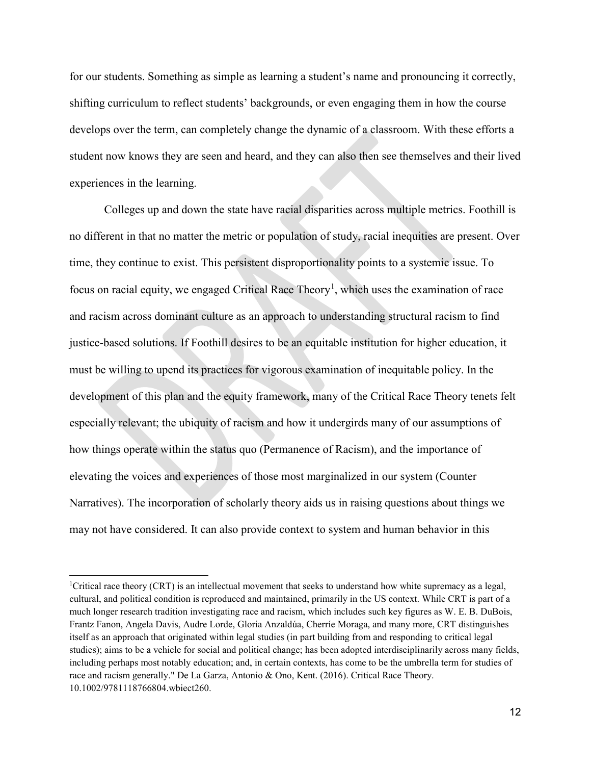for our students. Something as simple as learning a student's name and pronouncing it correctly, shifting curriculum to reflect students' backgrounds, or even engaging them in how the course develops over the term, can completely change the dynamic of a classroom. With these efforts a student now knows they are seen and heard, and they can also then see themselves and their lived experiences in the learning.

Colleges up and down the state have racial disparities across multiple metrics. Foothill is no different in that no matter the metric or population of study, racial inequities are present. Over time, they continue to exist. This persistent disproportionality points to a systemic issue. To focus on racial equity, we engaged Critical Race Theory<sup>[1](#page-11-0)</sup>, which uses the examination of race and racism across dominant culture as an approach to understanding structural racism to find justice-based solutions. If Foothill desires to be an equitable institution for higher education, it must be willing to upend its practices for vigorous examination of inequitable policy. In the development of this plan and the equity framework, many of the Critical Race Theory tenets felt especially relevant; the ubiquity of racism and how it undergirds many of our assumptions of how things operate within the status quo (Permanence of Racism), and the importance of elevating the voices and experiences of those most marginalized in our system (Counter Narratives). The incorporation of scholarly theory aids us in raising questions about things we may not have considered. It can also provide context to system and human behavior in this

 $\ddot{\phantom{a}}$ 

<span id="page-11-0"></span><sup>&</sup>lt;sup>1</sup>Critical race theory (CRT) is an intellectual movement that seeks to understand how white supremacy as a legal, cultural, and political condition is reproduced and maintained, primarily in the US context. While CRT is part of a much longer research tradition investigating race and racism, which includes such key figures as W. E. B. DuBois, Frantz Fanon, Angela Davis, Audre Lorde, Gloria Anzaldúa, Cherríe Moraga, and many more, CRT distinguishes itself as an approach that originated within legal studies (in part building from and responding to critical legal studies); aims to be a vehicle for social and political change; has been adopted interdisciplinarily across many fields, including perhaps most notably education; and, in certain contexts, has come to be the umbrella term for studies of race and racism generally." De La Garza, Antonio & Ono, Kent. (2016). Critical Race Theory. 10.1002/9781118766804.wbiect260.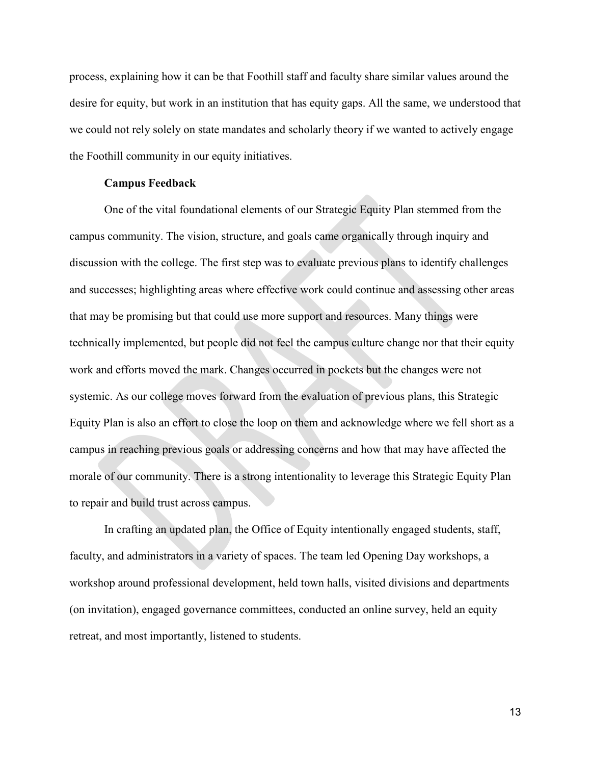process, explaining how it can be that Foothill staff and faculty share similar values around the desire for equity, but work in an institution that has equity gaps. All the same, we understood that we could not rely solely on state mandates and scholarly theory if we wanted to actively engage the Foothill community in our equity initiatives.

#### **Campus Feedback**

One of the vital foundational elements of our Strategic Equity Plan stemmed from the campus community. The vision, structure, and goals came organically through inquiry and discussion with the college. The first step was to evaluate previous plans to identify challenges and successes; highlighting areas where effective work could continue and assessing other areas that may be promising but that could use more support and resources. Many things were technically implemented, but people did not feel the campus culture change nor that their equity work and efforts moved the mark. Changes occurred in pockets but the changes were not systemic. As our college moves forward from the evaluation of previous plans, this Strategic Equity Plan is also an effort to close the loop on them and acknowledge where we fell short as a campus in reaching previous goals or addressing concerns and how that may have affected the morale of our community. There is a strong intentionality to leverage this Strategic Equity Plan to repair and build trust across campus.

In crafting an updated plan, the Office of Equity intentionally engaged students, staff, faculty, and administrators in a variety of spaces. The team led Opening Day workshops, a workshop around professional development, held town halls, visited divisions and departments (on invitation), engaged governance committees, conducted an online survey, held an equity retreat, and most importantly, listened to students.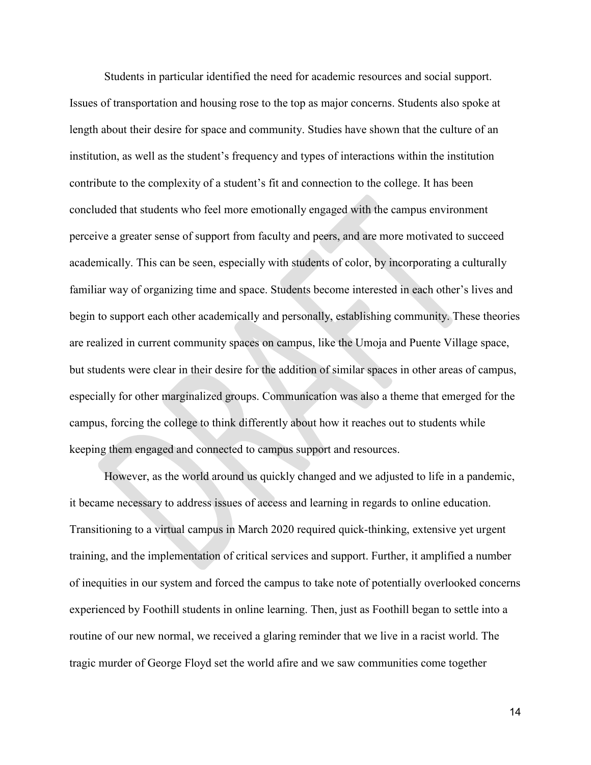Students in particular identified the need for academic resources and social support. Issues of transportation and housing rose to the top as major concerns. Students also spoke at length about their desire for space and community. Studies have shown that the culture of an institution, as well as the student's frequency and types of interactions within the institution contribute to the complexity of a student's fit and connection to the college. It has been concluded that students who feel more emotionally engaged with the campus environment perceive a greater sense of support from faculty and peers, and are more motivated to succeed academically. This can be seen, especially with students of color, by incorporating a culturally familiar way of organizing time and space. Students become interested in each other's lives and begin to support each other academically and personally, establishing community. These theories are realized in current community spaces on campus, like the Umoja and Puente Village space, but students were clear in their desire for the addition of similar spaces in other areas of campus, especially for other marginalized groups. Communication was also a theme that emerged for the campus, forcing the college to think differently about how it reaches out to students while keeping them engaged and connected to campus support and resources.

However, as the world around us quickly changed and we adjusted to life in a pandemic, it became necessary to address issues of access and learning in regards to online education. Transitioning to a virtual campus in March 2020 required quick-thinking, extensive yet urgent training, and the implementation of critical services and support. Further, it amplified a number of inequities in our system and forced the campus to take note of potentially overlooked concerns experienced by Foothill students in online learning. Then, just as Foothill began to settle into a routine of our new normal, we received a glaring reminder that we live in a racist world. The tragic murder of George Floyd set the world afire and we saw communities come together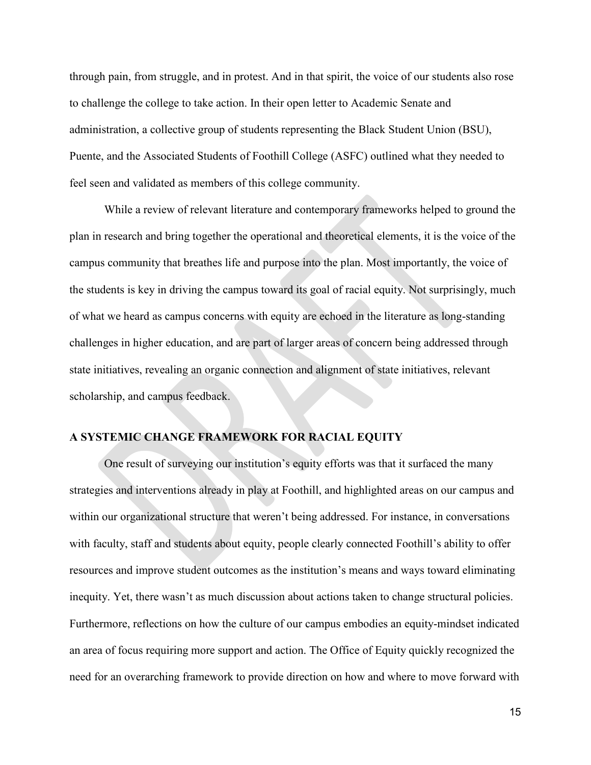through pain, from struggle, and in protest. And in that spirit, the voice of our students also rose to challenge the college to take action. In their open letter to Academic Senate and administration, a collective group of students representing the Black Student Union (BSU), Puente, and the Associated Students of Foothill College (ASFC) outlined what they needed to feel seen and validated as members of this college community.

While a review of relevant literature and contemporary frameworks helped to ground the plan in research and bring together the operational and theoretical elements, it is the voice of the campus community that breathes life and purpose into the plan. Most importantly, the voice of the students is key in driving the campus toward its goal of racial equity. Not surprisingly, much of what we heard as campus concerns with equity are echoed in the literature as long-standing challenges in higher education, and are part of larger areas of concern being addressed through state initiatives, revealing an organic connection and alignment of state initiatives, relevant scholarship, and campus feedback.

## **A SYSTEMIC CHANGE FRAMEWORK FOR RACIAL EQUITY**

One result of surveying our institution's equity efforts was that it surfaced the many strategies and interventions already in play at Foothill, and highlighted areas on our campus and within our organizational structure that weren't being addressed. For instance, in conversations with faculty, staff and students about equity, people clearly connected Foothill's ability to offer resources and improve student outcomes as the institution's means and ways toward eliminating inequity. Yet, there wasn't as much discussion about actions taken to change structural policies. Furthermore, reflections on how the culture of our campus embodies an equity-mindset indicated an area of focus requiring more support and action. The Office of Equity quickly recognized the need for an overarching framework to provide direction on how and where to move forward with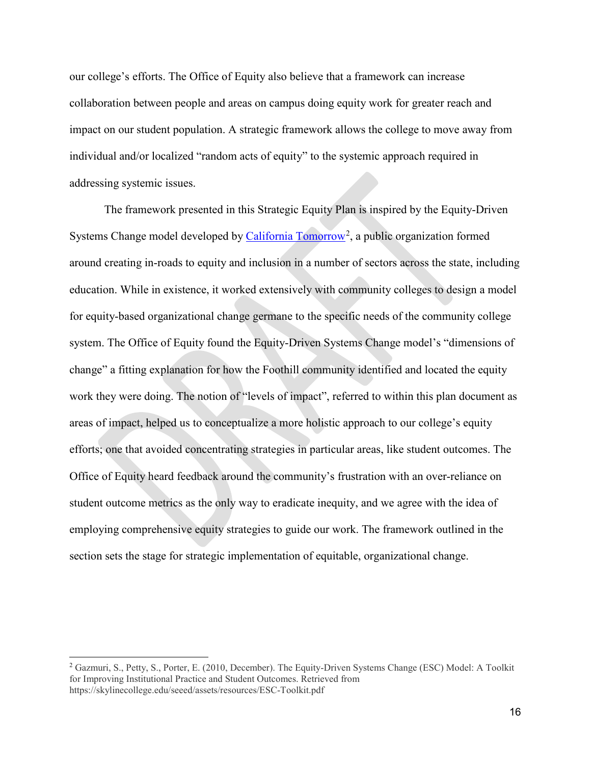our college's efforts. The Office of Equity also believe that a framework can increase collaboration between people and areas on campus doing equity work for greater reach and impact on our student population. A strategic framework allows the college to move away from individual and/or localized "random acts of equity" to the systemic approach required in addressing systemic issues.

The framework presented in this Strategic Equity Plan is inspired by the Equity-Driven Systems Change model developed by *California Tomorrow*<sup>[2](#page-15-0)</sup>, a public organization formed around creating in-roads to equity and inclusion in a number of sectors across the state, including education. While in existence, it worked extensively with community colleges to design a model for equity-based organizational change germane to the specific needs of the community college system. The Office of Equity found the Equity-Driven Systems Change model's "dimensions of change" a fitting explanation for how the Foothill community identified and located the equity work they were doing. The notion of "levels of impact", referred to within this plan document as areas of impact, helped us to conceptualize a more holistic approach to our college's equity efforts; one that avoided concentrating strategies in particular areas, like student outcomes. The Office of Equity heard feedback around the community's frustration with an over-reliance on student outcome metrics as the only way to eradicate inequity, and we agree with the idea of employing comprehensive equity strategies to guide our work. The framework outlined in the section sets the stage for strategic implementation of equitable, organizational change.

<span id="page-15-0"></span> $\overline{a}$ <sup>2</sup> Gazmuri, S., Petty, S., Porter, E. (2010, December). The Equity-Driven Systems Change (ESC) Model: A Toolkit for Improving Institutional Practice and Student Outcomes. Retrieved from https://skylinecollege.edu/seeed/assets/resources/ESC-Toolkit.pdf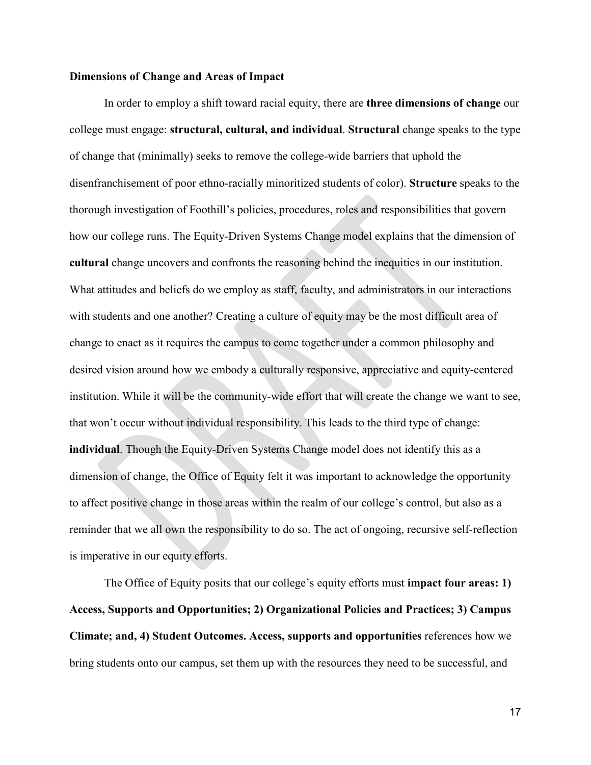#### **Dimensions of Change and Areas of Impact**

In order to employ a shift toward racial equity, there are **three dimensions of change** our college must engage: **structural, cultural, and individual**. **Structural** change speaks to the type of change that (minimally) seeks to remove the college-wide barriers that uphold the disenfranchisement of poor ethno-racially minoritized students of color). **Structure** speaks to the thorough investigation of Foothill's policies, procedures, roles and responsibilities that govern how our college runs. The Equity-Driven Systems Change model explains that the dimension of **cultural** change uncovers and confronts the reasoning behind the inequities in our institution. What attitudes and beliefs do we employ as staff, faculty, and administrators in our interactions with students and one another? Creating a culture of equity may be the most difficult area of change to enact as it requires the campus to come together under a common philosophy and desired vision around how we embody a culturally responsive, appreciative and equity-centered institution. While it will be the community-wide effort that will create the change we want to see, that won't occur without individual responsibility. This leads to the third type of change: **individual**. Though the Equity-Driven Systems Change model does not identify this as a dimension of change, the Office of Equity felt it was important to acknowledge the opportunity to affect positive change in those areas within the realm of our college's control, but also as a reminder that we all own the responsibility to do so. The act of ongoing, recursive self-reflection is imperative in our equity efforts.

The Office of Equity posits that our college's equity efforts must **impact four areas: 1) Access, Supports and Opportunities; 2) Organizational Policies and Practices; 3) Campus Climate; and, 4) Student Outcomes. Access, supports and opportunities** references how we bring students onto our campus, set them up with the resources they need to be successful, and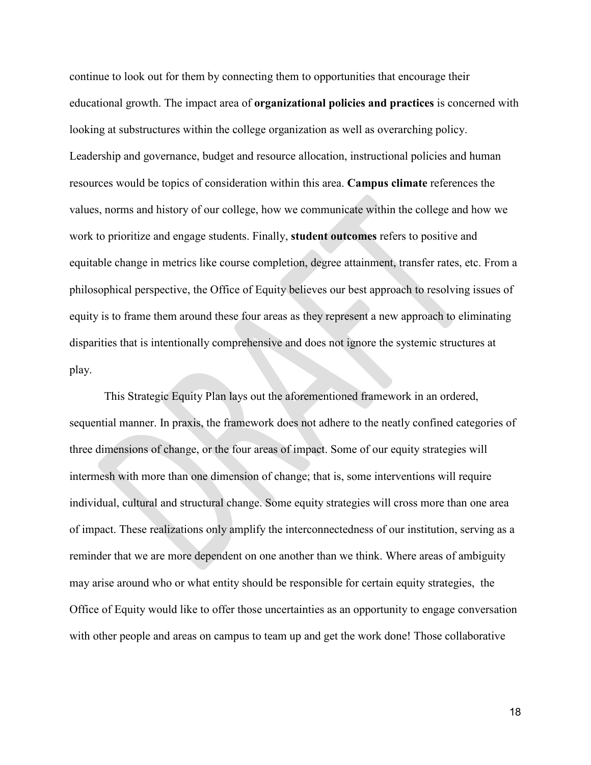continue to look out for them by connecting them to opportunities that encourage their educational growth. The impact area of **organizational policies and practices** is concerned with looking at substructures within the college organization as well as overarching policy. Leadership and governance, budget and resource allocation, instructional policies and human resources would be topics of consideration within this area. **Campus climate** references the values, norms and history of our college, how we communicate within the college and how we work to prioritize and engage students. Finally, **student outcomes** refers to positive and equitable change in metrics like course completion, degree attainment, transfer rates, etc. From a philosophical perspective, the Office of Equity believes our best approach to resolving issues of equity is to frame them around these four areas as they represent a new approach to eliminating disparities that is intentionally comprehensive and does not ignore the systemic structures at play.

This Strategic Equity Plan lays out the aforementioned framework in an ordered, sequential manner. In praxis, the framework does not adhere to the neatly confined categories of three dimensions of change, or the four areas of impact. Some of our equity strategies will intermesh with more than one dimension of change; that is, some interventions will require individual, cultural and structural change. Some equity strategies will cross more than one area of impact. These realizations only amplify the interconnectedness of our institution, serving as a reminder that we are more dependent on one another than we think. Where areas of ambiguity may arise around who or what entity should be responsible for certain equity strategies, the Office of Equity would like to offer those uncertainties as an opportunity to engage conversation with other people and areas on campus to team up and get the work done! Those collaborative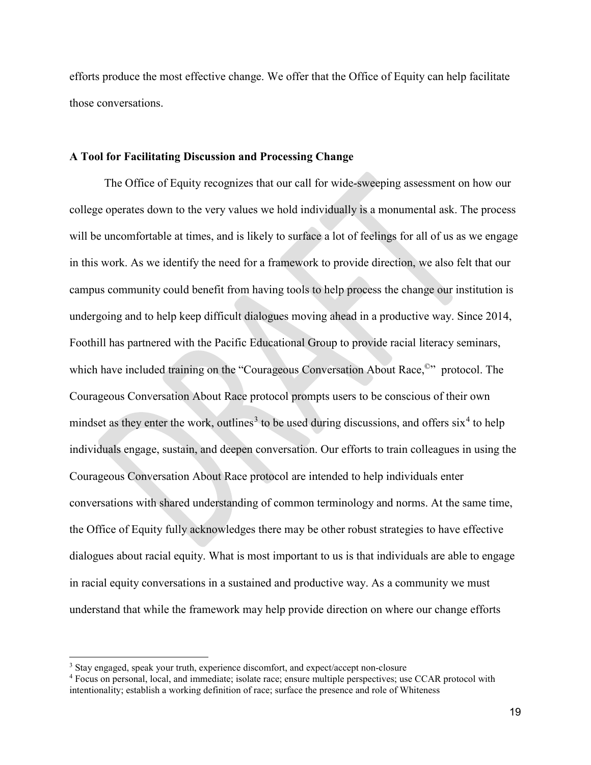efforts produce the most effective change. We offer that the Office of Equity can help facilitate those conversations.

#### **A Tool for Facilitating Discussion and Processing Change**

The Office of Equity recognizes that our call for wide-sweeping assessment on how our college operates down to the very values we hold individually is a monumental ask. The process will be uncomfortable at times, and is likely to surface a lot of feelings for all of us as we engage in this work. As we identify the need for a framework to provide direction, we also felt that our campus community could benefit from having tools to help process the change our institution is undergoing and to help keep difficult dialogues moving ahead in a productive way. Since 2014, Foothill has partnered with the Pacific Educational Group to provide racial literacy seminars, which have included training on the "Courageous Conversation About Race,<sup>©</sup>" protocol. The Courageous Conversation About Race protocol prompts users to be conscious of their own mindset as they enter the work, outlines<sup>[3](#page-18-0)</sup> to be used during discussions, and offers  $six<sup>4</sup>$  $six<sup>4</sup>$  $six<sup>4</sup>$  to help individuals engage, sustain, and deepen conversation. Our efforts to train colleagues in using the Courageous Conversation About Race protocol are intended to help individuals enter conversations with shared understanding of common terminology and norms. At the same time, the Office of Equity fully acknowledges there may be other robust strategies to have effective dialogues about racial equity. What is most important to us is that individuals are able to engage in racial equity conversations in a sustained and productive way. As a community we must understand that while the framework may help provide direction on where our change efforts

 $\overline{a}$ 

<span id="page-18-0"></span><sup>&</sup>lt;sup>3</sup> Stay engaged, speak your truth, experience discomfort, and expect/accept non-closure

<span id="page-18-1"></span><sup>4</sup> Focus on personal, local, and immediate; isolate race; ensure multiple perspectives; use CCAR protocol with intentionality; establish a working definition of race; surface the presence and role of Whiteness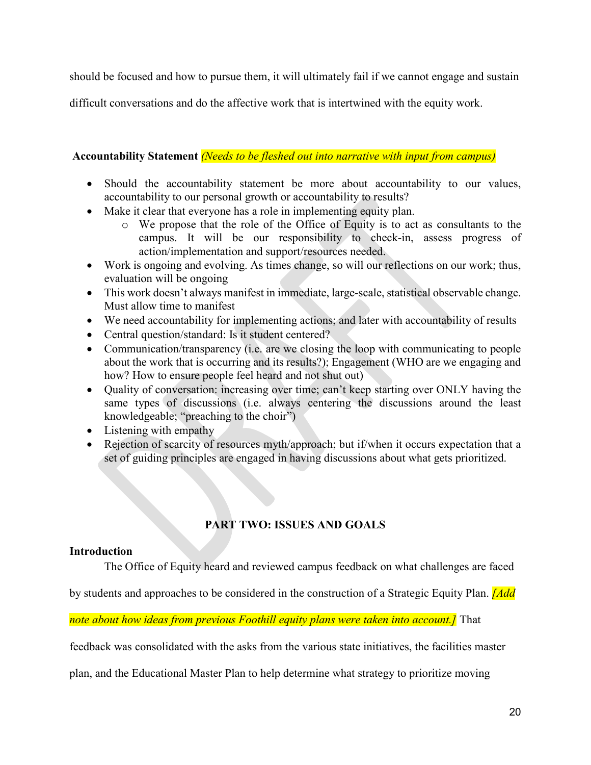should be focused and how to pursue them, it will ultimately fail if we cannot engage and sustain

difficult conversations and do the affective work that is intertwined with the equity work.

## **Accountability Statement** *(Needs to be fleshed out into narrative with input from campus)*

- Should the accountability statement be more about accountability to our values, accountability to our personal growth or accountability to results?
- Make it clear that everyone has a role in implementing equity plan.
	- o We propose that the role of the Office of Equity is to act as consultants to the campus. It will be our responsibility to check-in, assess progress of action/implementation and support/resources needed.
- Work is ongoing and evolving. As times change, so will our reflections on our work; thus, evaluation will be ongoing
- This work doesn't always manifest in immediate, large-scale, statistical observable change. Must allow time to manifest
- We need accountability for implementing actions; and later with accountability of results
- Central question/standard: Is it student centered?
- Communication/transparency (i.e. are we closing the loop with communicating to people about the work that is occurring and its results?); Engagement (WHO are we engaging and how? How to ensure people feel heard and not shut out)
- Quality of conversation: increasing over time; can't keep starting over ONLY having the same types of discussions (i.e. always centering the discussions around the least knowledgeable; "preaching to the choir")
- Listening with empathy
- Rejection of scarcity of resources myth/approach; but if/when it occurs expectation that a set of guiding principles are engaged in having discussions about what gets prioritized.

# **PART TWO: ISSUES AND GOALS**

## **Introduction**

The Office of Equity heard and reviewed campus feedback on what challenges are faced

by students and approaches to be considered in the construction of a Strategic Equity Plan. *[Add* 

*note about how ideas from previous Foothill equity plans were taken into account.]* That

feedback was consolidated with the asks from the various state initiatives, the facilities master

plan, and the Educational Master Plan to help determine what strategy to prioritize moving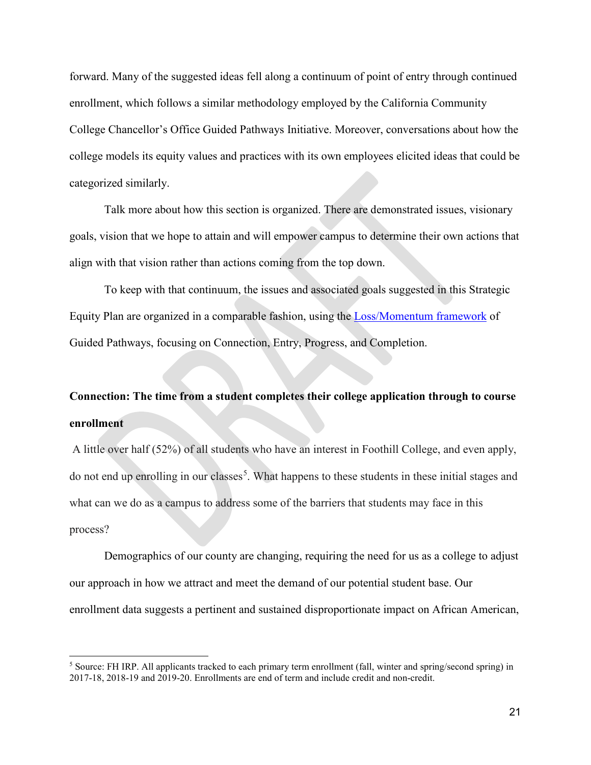forward. Many of the suggested ideas fell along a continuum of point of entry through continued enrollment, which follows a similar methodology employed by the California Community College Chancellor's Office Guided Pathways Initiative. Moreover, conversations about how the college models its equity values and practices with its own employees elicited ideas that could be categorized similarly.

Talk more about how this section is organized. There are demonstrated issues, visionary goals, vision that we hope to attain and will empower campus to determine their own actions that align with that vision rather than actions coming from the top down.

To keep with that continuum, the issues and associated goals suggested in this Strategic Equity Plan are organized in a comparable fashion, using the [Loss/Momentum framework](https://www.completionbydesign.org/s/cbd-lmf) of Guided Pathways, focusing on Connection, Entry, Progress, and Completion.

# **Connection: The time from a student completes their college application through to course enrollment**

A little over half (52%) of all students who have an interest in Foothill College, and even apply, do not end up enrolling in our classes<sup>[5](#page-20-0)</sup>. What happens to these students in these initial stages and what can we do as a campus to address some of the barriers that students may face in this process?

Demographics of our county are changing, requiring the need for us as a college to adjust our approach in how we attract and meet the demand of our potential student base. Our enrollment data suggests a pertinent and sustained disproportionate impact on African American,

 $\overline{a}$ 

<span id="page-20-0"></span><sup>&</sup>lt;sup>5</sup> Source: FH IRP. All applicants tracked to each primary term enrollment (fall, winter and spring/second spring) in 2017-18, 2018-19 and 2019-20. Enrollments are end of term and include credit and non-credit.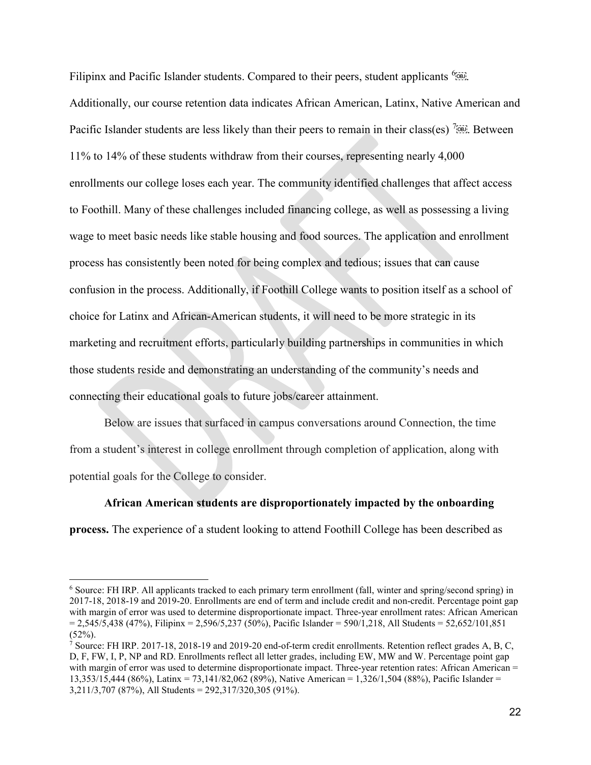Filipinx and Pacific Islander students. Compared to their peers, student applicants <sup>[6](#page-21-0)</sup><sup>666</sup>. Additionally, our course retention data indicates African American, Latinx, Native American and Pacific Islander students are less likely than their peers to remain in their class(es)  $\frac{7560}{1000}$  $\frac{7560}{1000}$  $\frac{7560}{1000}$ . Between 11% to 14% of these students withdraw from their courses, representing nearly 4,000 enrollments our college loses each year. The community identified challenges that affect access to Foothill. Many of these challenges included financing college, as well as possessing a living wage to meet basic needs like stable housing and food sources. The application and enrollment process has consistently been noted for being complex and tedious; issues that can cause confusion in the process. Additionally, if Foothill College wants to position itself as a school of choice for Latinx and African-American students, it will need to be more strategic in its marketing and recruitment efforts, particularly building partnerships in communities in which those students reside and demonstrating an understanding of the community's needs and connecting their educational goals to future jobs/career attainment.

Below are issues that surfaced in campus conversations around Connection, the time from a student's interest in college enrollment through completion of application, along with potential goals for the College to consider.

**African American students are disproportionately impacted by the onboarding process.** The experience of a student looking to attend Foothill College has been described as

 $\overline{a}$ 

<span id="page-21-0"></span><sup>6</sup> Source: FH IRP. All applicants tracked to each primary term enrollment (fall, winter and spring/second spring) in 2017-18, 2018-19 and 2019-20. Enrollments are end of term and include credit and non-credit. Percentage point gap with margin of error was used to determine disproportionate impact. Three-year enrollment rates: African American  $= 2,545/5,438$  (47%), Filipinx = 2,596/5,237 (50%), Pacific Islander = 590/1,218, All Students = 52,652/101,851  $(52\%).$ 

<span id="page-21-1"></span><sup>&</sup>lt;sup>7</sup> Source: FH IRP. 2017-18, 2018-19 and 2019-20 end-of-term credit enrollments. Retention reflect grades A, B, C, D, F, FW, I, P, NP and RD. Enrollments reflect all letter grades, including EW, MW and W. Percentage point gap with margin of error was used to determine disproportionate impact. Three-year retention rates: African American = 13,353/15,444 (86%), Latinx = 73,141/82,062 (89%), Native American = 1,326/1,504 (88%), Pacific Islander = 3,211/3,707 (87%), All Students = 292,317/320,305 (91%).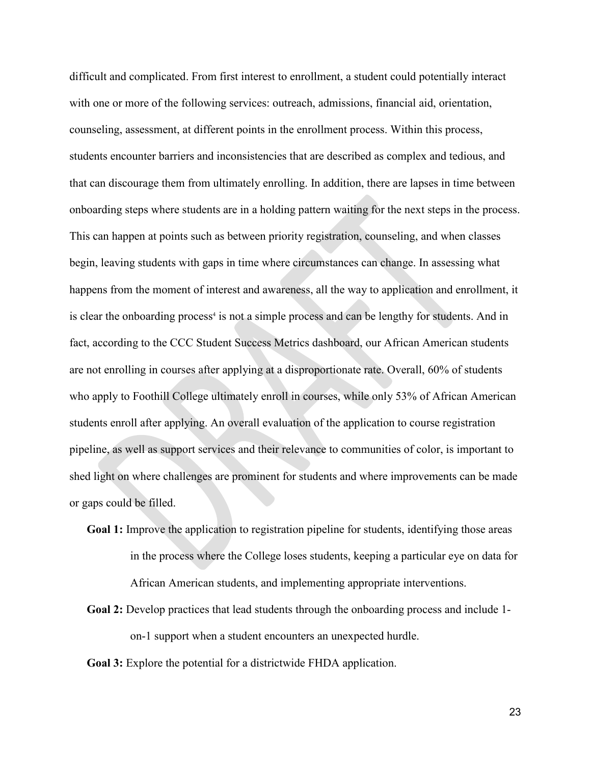difficult and complicated. From first interest to enrollment, a student could potentially interact with one or more of the following services: outreach, admissions, financial aid, orientation, counseling, assessment, at different points in the enrollment process. Within this process, students encounter barriers and inconsistencies that are described as complex and tedious, and that can discourage them from ultimately enrolling. In addition, there are lapses in time between onboarding steps where students are in a holding pattern waiting for the next steps in the process. This can happen at points such as between priority registration, counseling, and when classes begin, leaving students with gaps in time where circumstances can change. In assessing what happens from the moment of interest and awareness, all the way to application and enrollment, it is clear the onboarding process<sup>4</sup> is not a simple process and can be lengthy for students. And in fact, according to the CCC Student Success Metrics dashboard, our African American students are not enrolling in courses after applying at a disproportionate rate. Overall, 60% of students who apply to Foothill College ultimately enroll in courses, while only 53% of African American students enroll after applying. An overall evaluation of the application to course registration pipeline, as well as support services and their relevance to communities of color, is important to shed light on where challenges are prominent for students and where improvements can be made or gaps could be filled.

- **Goal 1:** Improve the application to registration pipeline for students, identifying those areas in the process where the College loses students, keeping a particular eye on data for African American students, and implementing appropriate interventions.
- **Goal 2:** Develop practices that lead students through the onboarding process and include 1 on-1 support when a student encounters an unexpected hurdle.
- **Goal 3:** Explore the potential for a districtwide FHDA application.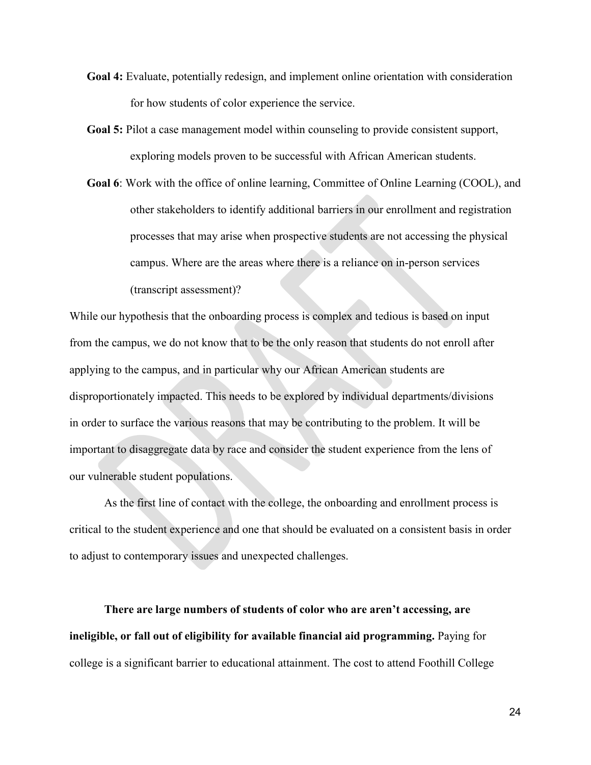- **Goal 4:** Evaluate, potentially redesign, and implement online orientation with consideration for how students of color experience the service.
- **Goal 5:** Pilot a case management model within counseling to provide consistent support, exploring models proven to be successful with African American students.
- **Goal 6**: Work with the office of online learning, Committee of Online Learning (COOL), and other stakeholders to identify additional barriers in our enrollment and registration processes that may arise when prospective students are not accessing the physical campus. Where are the areas where there is a reliance on in-person services (transcript assessment)?

While our hypothesis that the onboarding process is complex and tedious is based on input from the campus, we do not know that to be the only reason that students do not enroll after applying to the campus, and in particular why our African American students are disproportionately impacted. This needs to be explored by individual departments/divisions in order to surface the various reasons that may be contributing to the problem. It will be important to disaggregate data by race and consider the student experience from the lens of our vulnerable student populations.

As the first line of contact with the college, the onboarding and enrollment process is critical to the student experience and one that should be evaluated on a consistent basis in order to adjust to contemporary issues and unexpected challenges.

**There are large numbers of students of color who are aren't accessing, are ineligible, or fall out of eligibility for available financial aid programming.** Paying for college is a significant barrier to educational attainment. The cost to attend Foothill College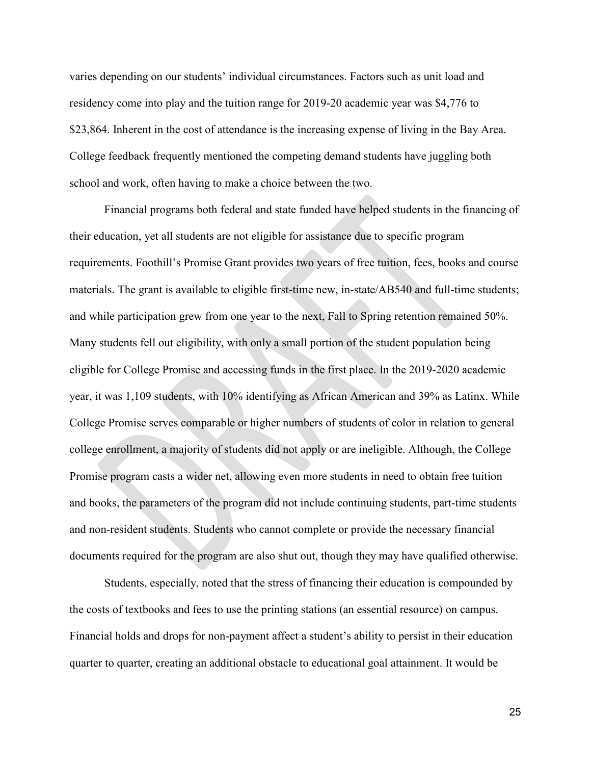varies depending on our students' individual circumstances. Factors such as unit load and residency come into play and the tuition range for 2019-20 academic year was \$4,776 to \$23,864. Inherent in the cost of attendance is the increasing expense of living in the Bay Area. College feedback frequently mentioned the competing demand students have juggling both school and work, often having to make a choice between the two.

Financial programs both federal and state funded have helped students in the financing of their education, yet all students are not eligible for assistance due to specific program requirements. Foothill's Promise Grant provides two years of free tuition, fees, books and course materials. The grant is available to eligible first-time new, in-state/AB540 and full-time students; and while participation grew from one year to the next, Fall to Spring retention remained 50%. Many students fell out eligibility, with only a small portion of the student population being eligible for College Promise and accessing funds in the first place. In the 2019-2020 academic year, it was 1,109 students, with 10% identifying as African American and 39% as Latinx. While College Promise serves comparable or higher numbers of students of color in relation to general college enrollment, a majority of students did not apply or are ineligible. Although, the College Promise program casts a wider net, allowing even more students in need to obtain free tuition and books, the parameters of the program did not include continuing students, part-time students and non-resident students. Students who cannot complete or provide the necessary financial documents required for the program are also shut out, though they may have qualified otherwise.

Students, especially, noted that the stress of financing their education is compounded by the costs of textbooks and fees to use the printing stations (an essential resource) on campus. Financial holds and drops for non-payment affect a student's ability to persist in their education quarter to quarter, creating an additional obstacle to educational goal attainment. It would be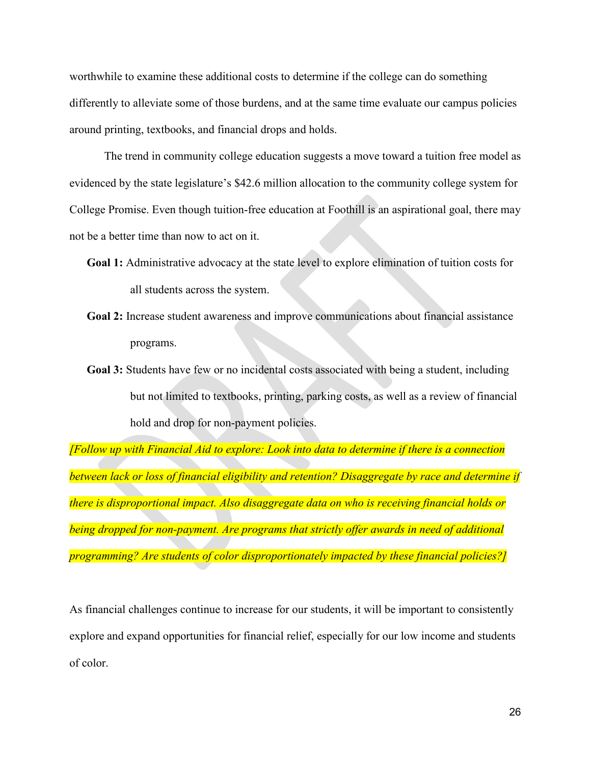worthwhile to examine these additional costs to determine if the college can do something differently to alleviate some of those burdens, and at the same time evaluate our campus policies around printing, textbooks, and financial drops and holds.

The trend in community college education suggests a move toward a tuition free model as evidenced by the state legislature's \$42.6 million allocation to the community college system for College Promise. Even though tuition-free education at Foothill is an aspirational goal, there may not be a better time than now to act on it.

- **Goal 1:** Administrative advocacy at the state level to explore elimination of tuition costs for all students across the system.
- **Goal 2:** Increase student awareness and improve communications about financial assistance programs.
- **Goal 3:** Students have few or no incidental costs associated with being a student, including but not limited to textbooks, printing, parking costs, as well as a review of financial hold and drop for non-payment policies.

*[Follow up with Financial Aid to explore: Look into data to determine if there is a connection between lack or loss of financial eligibility and retention? Disaggregate by race and determine if there is disproportional impact. Also disaggregate data on who is receiving financial holds or being dropped for non-payment. Are programs that strictly offer awards in need of additional programming? Are students of color disproportionately impacted by these financial policies?]*

As financial challenges continue to increase for our students, it will be important to consistently explore and expand opportunities for financial relief, especially for our low income and students of color.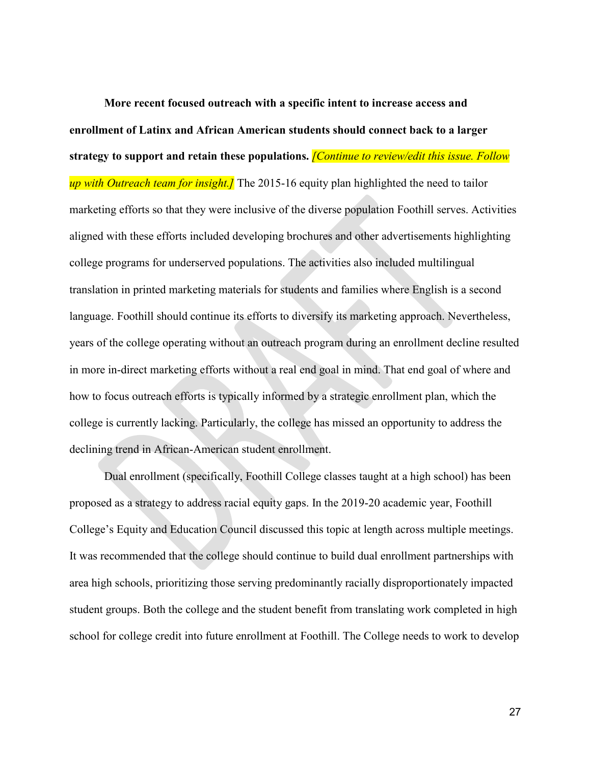**More recent focused outreach with a specific intent to increase access and enrollment of Latinx and African American students should connect back to a larger strategy to support and retain these populations.** *[Continue to review/edit this issue. Follow up with Outreach team for insight.]* The 2015-16 equity plan highlighted the need to tailor marketing efforts so that they were inclusive of the diverse population Foothill serves. Activities aligned with these efforts included developing brochures and other advertisements highlighting college programs for underserved populations. The activities also included multilingual translation in printed marketing materials for students and families where English is a second language. Foothill should continue its efforts to diversify its marketing approach. Nevertheless, years of the college operating without an outreach program during an enrollment decline resulted in more in-direct marketing efforts without a real end goal in mind. That end goal of where and how to focus outreach efforts is typically informed by a strategic enrollment plan, which the college is currently lacking. Particularly, the college has missed an opportunity to address the declining trend in African-American student enrollment.

Dual enrollment (specifically, Foothill College classes taught at a high school) has been proposed as a strategy to address racial equity gaps. In the 2019-20 academic year, Foothill College's Equity and Education Council discussed this topic at length across multiple meetings. It was recommended that the college should continue to build dual enrollment partnerships with area high schools, prioritizing those serving predominantly racially disproportionately impacted student groups. Both the college and the student benefit from translating work completed in high school for college credit into future enrollment at Foothill. The College needs to work to develop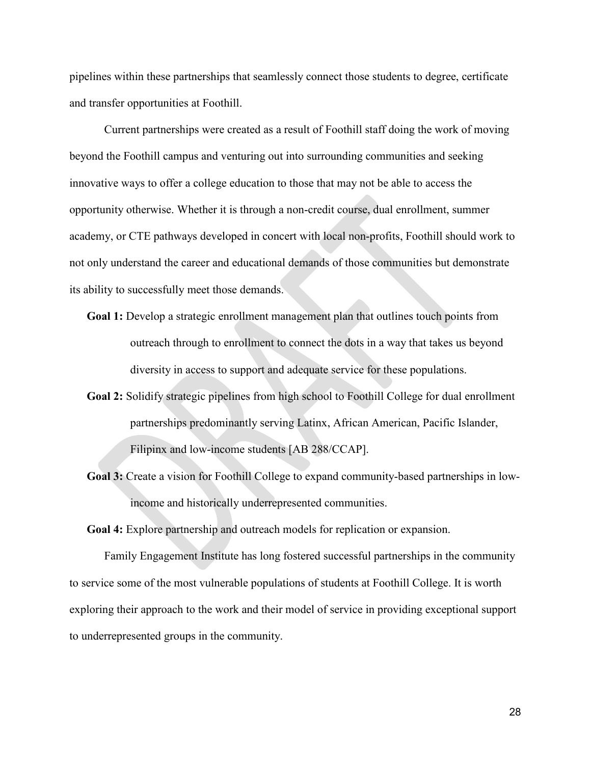pipelines within these partnerships that seamlessly connect those students to degree, certificate and transfer opportunities at Foothill.

Current partnerships were created as a result of Foothill staff doing the work of moving beyond the Foothill campus and venturing out into surrounding communities and seeking innovative ways to offer a college education to those that may not be able to access the opportunity otherwise. Whether it is through a non-credit course, dual enrollment, summer academy, or CTE pathways developed in concert with local non-profits, Foothill should work to not only understand the career and educational demands of those communities but demonstrate its ability to successfully meet those demands.

- **Goal 1:** Develop a strategic enrollment management plan that outlines touch points from outreach through to enrollment to connect the dots in a way that takes us beyond diversity in access to support and adequate service for these populations.
- **Goal 2:** Solidify strategic pipelines from high school to Foothill College for dual enrollment partnerships predominantly serving Latinx, African American, Pacific Islander, Filipinx and low-income students [AB 288/CCAP].
- **Goal 3:** Create a vision for Foothill College to expand community-based partnerships in lowincome and historically underrepresented communities.

**Goal 4:** Explore partnership and outreach models for replication or expansion.

Family Engagement Institute has long fostered successful partnerships in the community to service some of the most vulnerable populations of students at Foothill College. It is worth exploring their approach to the work and their model of service in providing exceptional support to underrepresented groups in the community.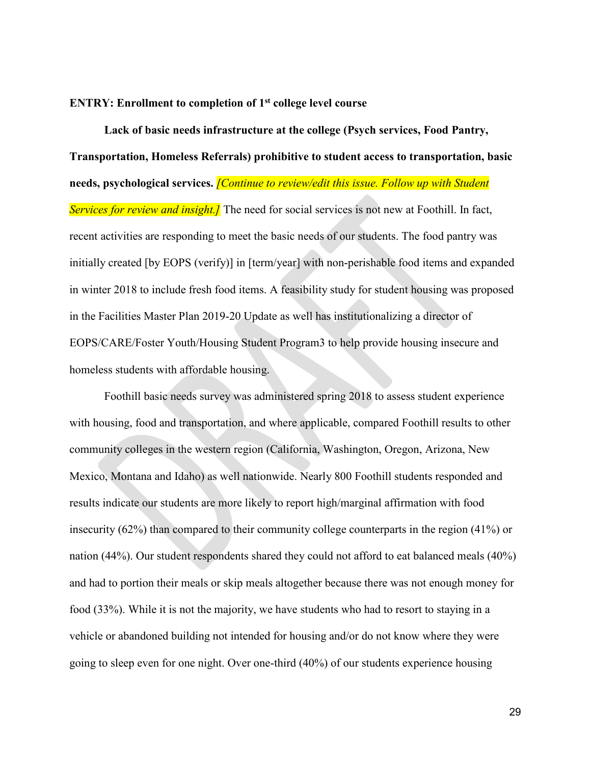#### **ENTRY: Enrollment to completion of 1st college level course**

**Lack of basic needs infrastructure at the college (Psych services, Food Pantry, Transportation, Homeless Referrals) prohibitive to student access to transportation, basic needs, psychological services.** *[Continue to review/edit this issue. Follow up with Student Services for review and insight.]* The need for social services is not new at Foothill. In fact, recent activities are responding to meet the basic needs of our students. The food pantry was initially created [by EOPS (verify)] in [term/year] with non-perishable food items and expanded in winter 2018 to include fresh food items. A feasibility study for student housing was proposed in the Facilities Master Plan 2019-20 Update as well has institutionalizing a director of EOPS/CARE/Foster Youth/Housing Student Program3 to help provide housing insecure and homeless students with affordable housing.

Foothill basic needs survey was administered spring 2018 to assess student experience with housing, food and transportation, and where applicable, compared Foothill results to other community colleges in the western region (California, Washington, Oregon, Arizona, New Mexico, Montana and Idaho) as well nationwide. Nearly 800 Foothill students responded and results indicate our students are more likely to report high/marginal affirmation with food insecurity (62%) than compared to their community college counterparts in the region (41%) or nation (44%). Our student respondents shared they could not afford to eat balanced meals (40%) and had to portion their meals or skip meals altogether because there was not enough money for food (33%). While it is not the majority, we have students who had to resort to staying in a vehicle or abandoned building not intended for housing and/or do not know where they were going to sleep even for one night. Over one-third (40%) of our students experience housing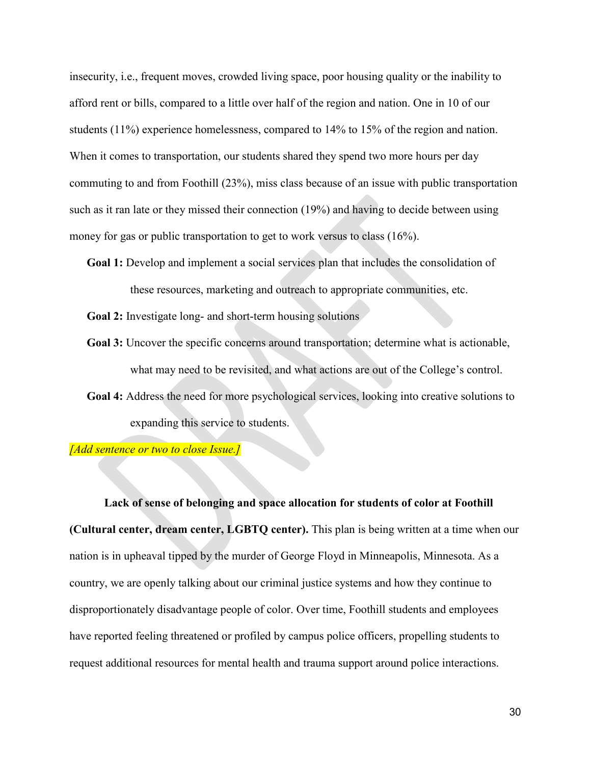insecurity, i.e., frequent moves, crowded living space, poor housing quality or the inability to afford rent or bills, compared to a little over half of the region and nation. One in 10 of our students (11%) experience homelessness, compared to 14% to 15% of the region and nation. When it comes to transportation, our students shared they spend two more hours per day commuting to and from Foothill (23%), miss class because of an issue with public transportation such as it ran late or they missed their connection (19%) and having to decide between using money for gas or public transportation to get to work versus to class (16%).

- **Goal 1:** Develop and implement a social services plan that includes the consolidation of these resources, marketing and outreach to appropriate communities, etc.
- **Goal 2:** Investigate long- and short-term housing solutions
- **Goal 3:** Uncover the specific concerns around transportation; determine what is actionable, what may need to be revisited, and what actions are out of the College's control.
- **Goal 4:** Address the need for more psychological services, looking into creative solutions to expanding this service to students.

*[Add sentence or two to close Issue.]*

**Lack of sense of belonging and space allocation for students of color at Foothill (Cultural center, dream center, LGBTQ center).** This plan is being written at a time when our nation is in upheaval tipped by the murder of George Floyd in Minneapolis, Minnesota. As a country, we are openly talking about our criminal justice systems and how they continue to disproportionately disadvantage people of color. Over time, Foothill students and employees have reported feeling threatened or profiled by campus police officers, propelling students to request additional resources for mental health and trauma support around police interactions.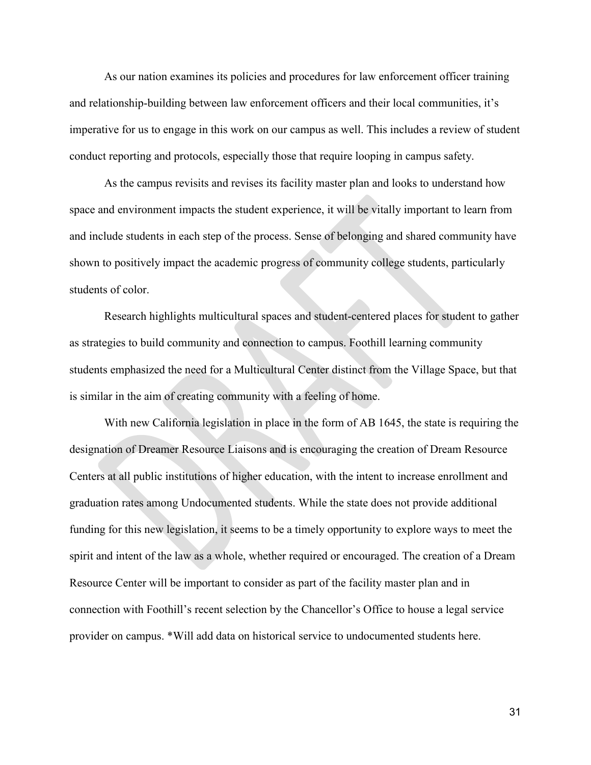As our nation examines its policies and procedures for law enforcement officer training and relationship-building between law enforcement officers and their local communities, it's imperative for us to engage in this work on our campus as well. This includes a review of student conduct reporting and protocols, especially those that require looping in campus safety.

As the campus revisits and revises its facility master plan and looks to understand how space and environment impacts the student experience, it will be vitally important to learn from and include students in each step of the process. Sense of belonging and shared community have shown to positively impact the academic progress of community college students, particularly students of color.

Research highlights multicultural spaces and student-centered places for student to gather as strategies to build community and connection to campus. Foothill learning community students emphasized the need for a Multicultural Center distinct from the Village Space, but that is similar in the aim of creating community with a feeling of home.

With new California legislation in place in the form of AB 1645, the state is requiring the designation of Dreamer Resource Liaisons and is encouraging the creation of Dream Resource Centers at all public institutions of higher education, with the intent to increase enrollment and graduation rates among Undocumented students. While the state does not provide additional funding for this new legislation, it seems to be a timely opportunity to explore ways to meet the spirit and intent of the law as a whole, whether required or encouraged. The creation of a Dream Resource Center will be important to consider as part of the facility master plan and in connection with Foothill's recent selection by the Chancellor's Office to house a legal service provider on campus. \*Will add data on historical service to undocumented students here.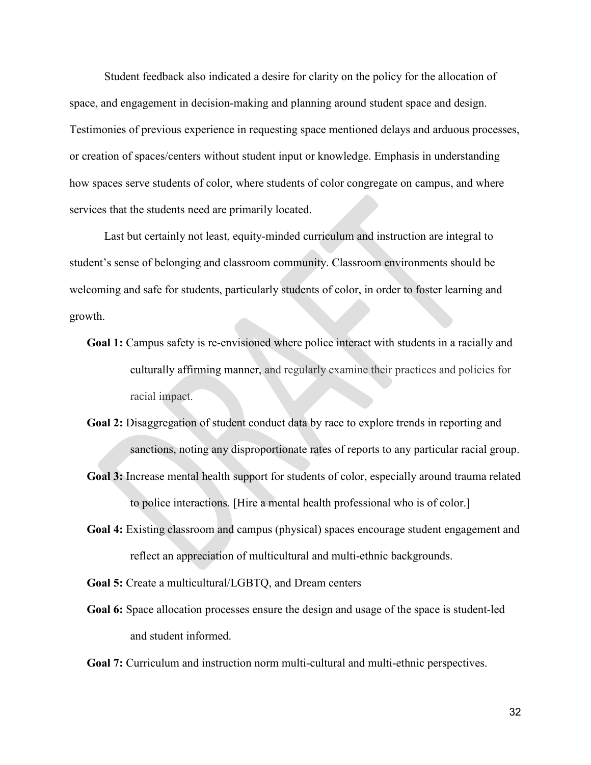Student feedback also indicated a desire for clarity on the policy for the allocation of space, and engagement in decision-making and planning around student space and design. Testimonies of previous experience in requesting space mentioned delays and arduous processes, or creation of spaces/centers without student input or knowledge. Emphasis in understanding how spaces serve students of color, where students of color congregate on campus, and where services that the students need are primarily located.

Last but certainly not least, equity-minded curriculum and instruction are integral to student's sense of belonging and classroom community. Classroom environments should be welcoming and safe for students, particularly students of color, in order to foster learning and growth.

- **Goal 1:** Campus safety is re-envisioned where police interact with students in a racially and culturally affirming manner, and regularly examine their practices and policies for racial impact.
- **Goal 2:** Disaggregation of student conduct data by race to explore trends in reporting and sanctions, noting any disproportionate rates of reports to any particular racial group.
- **Goal 3:** Increase mental health support for students of color, especially around trauma related to police interactions. [Hire a mental health professional who is of color.]
- **Goal 4:** Existing classroom and campus (physical) spaces encourage student engagement and reflect an appreciation of multicultural and multi-ethnic backgrounds.
- **Goal 5:** Create a multicultural/LGBTQ, and Dream centers
- **Goal 6:** Space allocation processes ensure the design and usage of the space is student-led and student informed.
- **Goal 7:** Curriculum and instruction norm multi-cultural and multi-ethnic perspectives.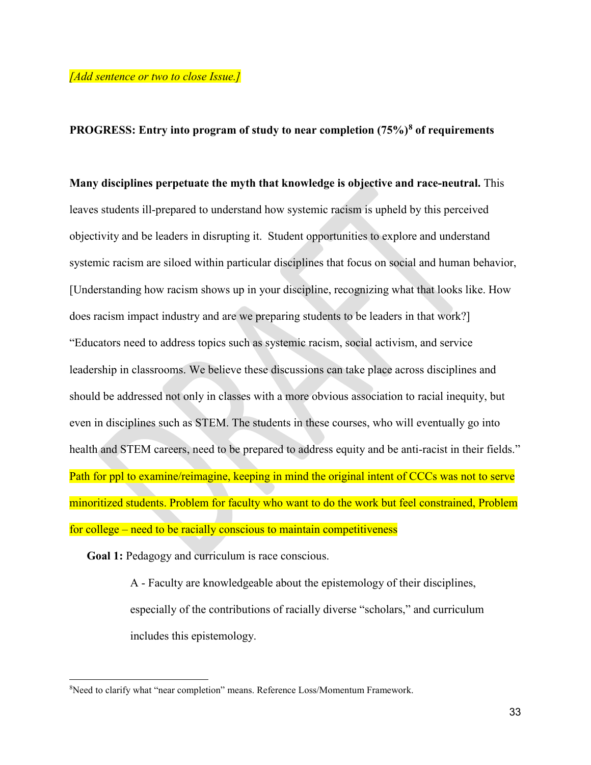## **PROGRESS: Entry into program of study to near completion (75%[\)8](#page-32-0) of requirements**

**Many disciplines perpetuate the myth that knowledge is objective and race-neutral.** This leaves students ill-prepared to understand how systemic racism is upheld by this perceived objectivity and be leaders in disrupting it. Student opportunities to explore and understand systemic racism are siloed within particular disciplines that focus on social and human behavior, [Understanding how racism shows up in your discipline, recognizing what that looks like. How does racism impact industry and are we preparing students to be leaders in that work?] "Educators need to address topics such as systemic racism, social activism, and service leadership in classrooms. We believe these discussions can take place across disciplines and should be addressed not only in classes with a more obvious association to racial inequity, but even in disciplines such as STEM. The students in these courses, who will eventually go into health and STEM careers, need to be prepared to address equity and be anti-racist in their fields." Path for ppl to examine/reimagine, keeping in mind the original intent of CCCs was not to serve minoritized students. Problem for faculty who want to do the work but feel constrained, Problem for college – need to be racially conscious to maintain competitiveness

**Goal 1:** Pedagogy and curriculum is race conscious.

 $\overline{a}$ 

A - Faculty are knowledgeable about the epistemology of their disciplines, especially of the contributions of racially diverse "scholars," and curriculum includes this epistemology.

<span id="page-32-0"></span><sup>&</sup>lt;sup>8</sup>Need to clarify what "near completion" means. Reference Loss/Momentum Framework.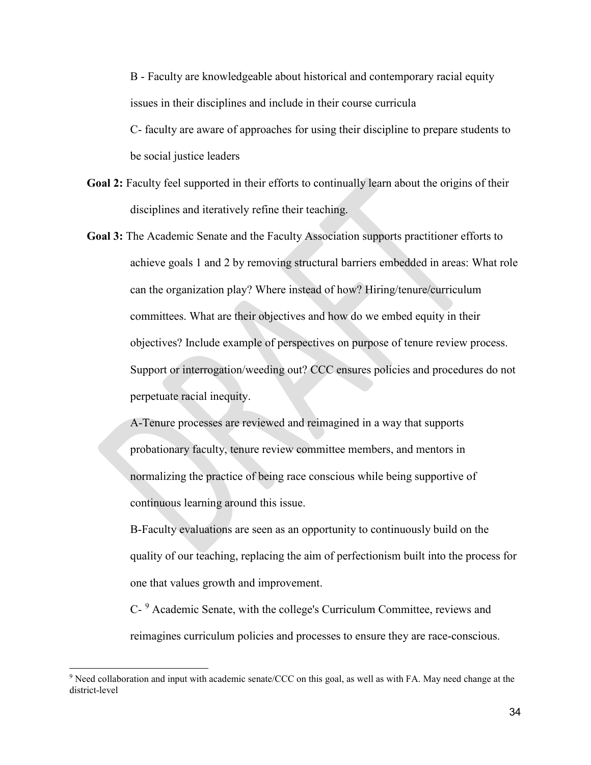B - Faculty are knowledgeable about historical and contemporary racial equity issues in their disciplines and include in their course curricula C- faculty are aware of approaches for using their discipline to prepare students to

be social justice leaders

 $\ddot{\phantom{a}}$ 

- **Goal 2:** Faculty feel supported in their efforts to continually learn about the origins of their disciplines and iteratively refine their teaching.
- **Goal 3:** The Academic Senate and the Faculty Association supports practitioner efforts to achieve goals 1 and 2 by removing structural barriers embedded in areas: What role can the organization play? Where instead of how? Hiring/tenure/curriculum committees. What are their objectives and how do we embed equity in their objectives? Include example of perspectives on purpose of tenure review process. Support or interrogation/weeding out? CCC ensures policies and procedures do not perpetuate racial inequity.

A-Tenure processes are reviewed and reimagined in a way that supports probationary faculty, tenure review committee members, and mentors in normalizing the practice of being race conscious while being supportive of continuous learning around this issue.

B-Faculty evaluations are seen as an opportunity to continuously build on the quality of our teaching, replacing the aim of perfectionism built into the process for one that values growth and improvement.

C- [9](#page-33-0) Academic Senate, with the college's Curriculum Committee, reviews and reimagines curriculum policies and processes to ensure they are race-conscious.

<span id="page-33-0"></span><sup>9</sup> Need collaboration and input with academic senate/CCC on this goal, as well as with FA. May need change at the district-level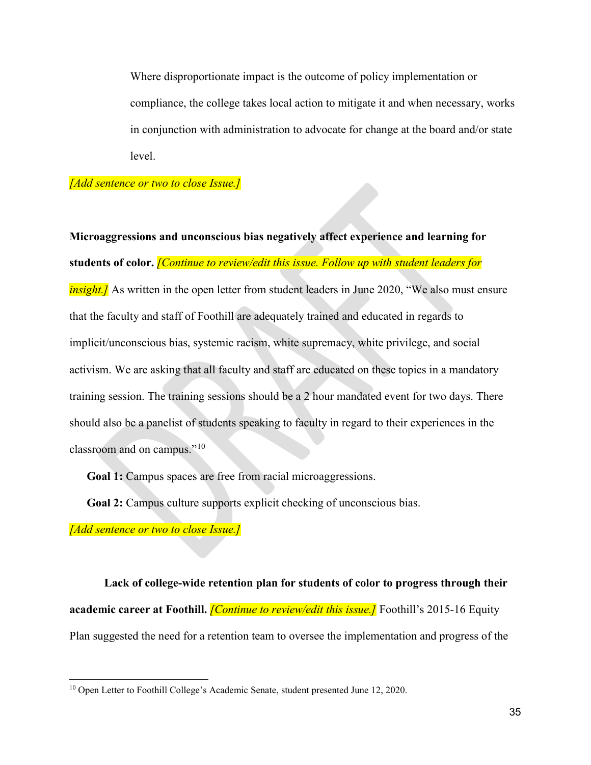Where disproportionate impact is the outcome of policy implementation or compliance, the college takes local action to mitigate it and when necessary, works in conjunction with administration to advocate for change at the board and/or state level.

## *[Add sentence or two to close Issue.]*

**Microaggressions and unconscious bias negatively affect experience and learning for students of color.** *[Continue to review/edit this issue. Follow up with student leaders for insight.]* As written in the open letter from student leaders in June 2020, "We also must ensure that the faculty and staff of Foothill are adequately trained and educated in regards to implicit/unconscious bias, systemic racism, white supremacy, white privilege, and social activism. We are asking that all faculty and staff are educated on these topics in a mandatory training session. The training sessions should be a 2 hour mandated event for two days. There should also be a panelist of students speaking to faculty in regard to their experiences in the classroom and on campus."[10](#page-34-0)

**Goal 1:** Campus spaces are free from racial microaggressions.

**Goal 2:** Campus culture supports explicit checking of unconscious bias.

*[Add sentence or two to close Issue.]*

 $\overline{a}$ 

**Lack of college-wide retention plan for students of color to progress through their academic career at Foothill.** *[Continue to review/edit this issue.]* Foothill's 2015-16 Equity Plan suggested the need for a retention team to oversee the implementation and progress of the

<span id="page-34-0"></span><sup>&</sup>lt;sup>10</sup> Open Letter to Foothill College's Academic Senate, student presented June 12, 2020.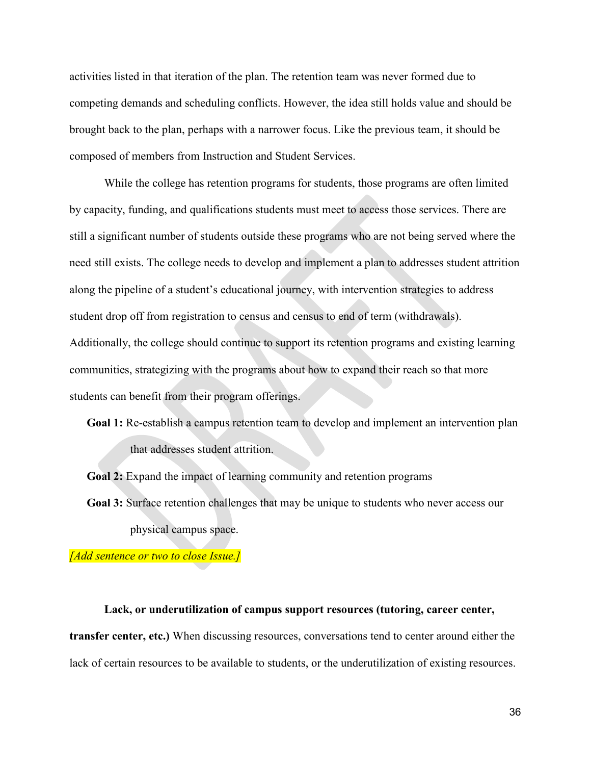activities listed in that iteration of the plan. The retention team was never formed due to competing demands and scheduling conflicts. However, the idea still holds value and should be brought back to the plan, perhaps with a narrower focus. Like the previous team, it should be composed of members from Instruction and Student Services.

While the college has retention programs for students, those programs are often limited by capacity, funding, and qualifications students must meet to access those services. There are still a significant number of students outside these programs who are not being served where the need still exists. The college needs to develop and implement a plan to addresses student attrition along the pipeline of a student's educational journey, with intervention strategies to address student drop off from registration to census and census to end of term (withdrawals). Additionally, the college should continue to support its retention programs and existing learning communities, strategizing with the programs about how to expand their reach so that more students can benefit from their program offerings.

**Goal 1:** Re-establish a campus retention team to develop and implement an intervention plan that addresses student attrition.

**Goal 2:** Expand the impact of learning community and retention programs **Goal 3:** Surface retention challenges that may be unique to students who never access our physical campus space.

*[Add sentence or two to close Issue.]*

**Lack, or underutilization of campus support resources (tutoring, career center, transfer center, etc.)** When discussing resources, conversations tend to center around either the lack of certain resources to be available to students, or the underutilization of existing resources.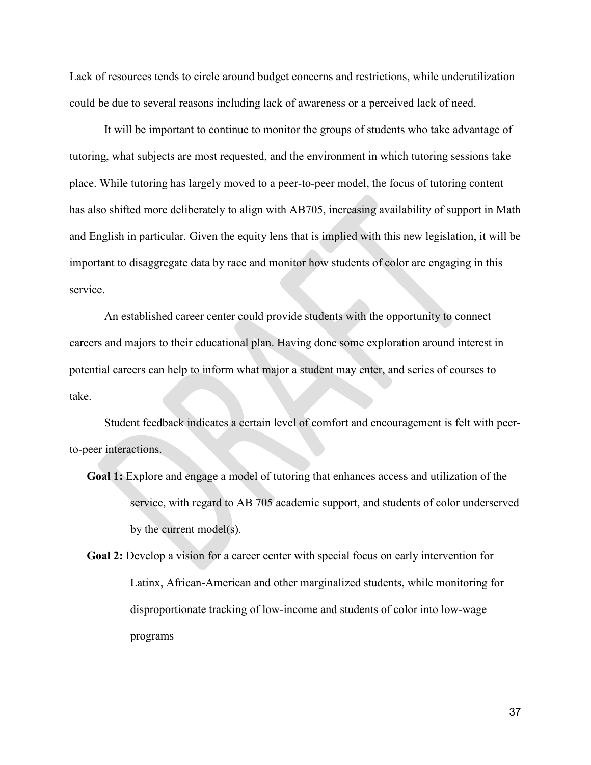Lack of resources tends to circle around budget concerns and restrictions, while underutilization could be due to several reasons including lack of awareness or a perceived lack of need.

It will be important to continue to monitor the groups of students who take advantage of tutoring, what subjects are most requested, and the environment in which tutoring sessions take place. While tutoring has largely moved to a peer-to-peer model, the focus of tutoring content has also shifted more deliberately to align with AB705, increasing availability of support in Math and English in particular. Given the equity lens that is implied with this new legislation, it will be important to disaggregate data by race and monitor how students of color are engaging in this service.

An established career center could provide students with the opportunity to connect careers and majors to their educational plan. Having done some exploration around interest in potential careers can help to inform what major a student may enter, and series of courses to take.

Student feedback indicates a certain level of comfort and encouragement is felt with peerto-peer interactions.

**Goal 1:** Explore and engage a model of tutoring that enhances access and utilization of the service, with regard to AB 705 academic support, and students of color underserved by the current model(s).

**Goal 2:** Develop a vision for a career center with special focus on early intervention for Latinx, African-American and other marginalized students, while monitoring for disproportionate tracking of low-income and students of color into low-wage programs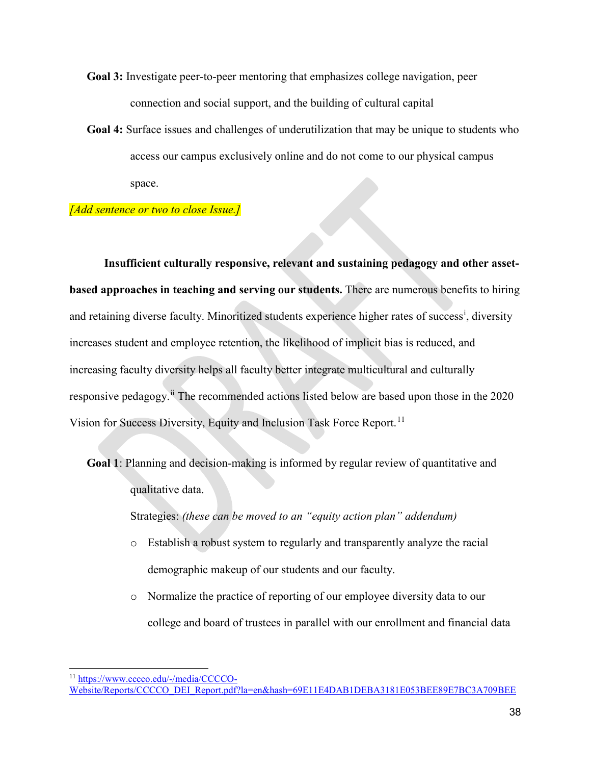- **Goal 3:** Investigate peer-to-peer mentoring that emphasizes college navigation, peer connection and social support, and the building of cultural capital
- **Goal 4:** Surface issues and challenges of underutilization that may be unique to students who access our campus exclusively online and do not come to our physical campus space.

### *[Add sentence or two to close Issue.]*

**Insufficient culturally responsive, relevant and sustaining pedagogy and other assetbased approaches in teaching and serving our students.** There are numerous benefits to hiring and reta[i](#page-38-0)ning diverse faculty. Minoritized students experience higher rates of success<sup>i</sup>, diversity increases student and employee retention, the likelihood of implicit bias is reduced, and increasing faculty diversity helps all faculty better integrate multicultural and culturally responsive pedagogy.<sup>[ii](#page-38-1)</sup> The recommended actions listed below are based upon those in the 2020 Vision for Success Diversity, Equity and Inclusion Task Force Report.<sup>[11](#page-37-0)</sup>

**Goal 1**: Planning and decision-making is informed by regular review of quantitative and qualitative data.

Strategies: *(these can be moved to an "equity action plan" addendum)*

- o Establish a robust system to regularly and transparently analyze the racial demographic makeup of our students and our faculty.
- o Normalize the practice of reporting of our employee diversity data to our college and board of trustees in parallel with our enrollment and financial data

<span id="page-37-0"></span> $\ddot{\phantom{a}}$ <sup>11</sup> [https://www.cccco.edu/-/media/CCCCO-](https://www.cccco.edu/-/media/CCCCO-Website/Reports/CCCCO_DEI_Report.pdf?la=en&hash=69E11E4DAB1DEBA3181E053BEE89E7BC3A709BEE)

[Website/Reports/CCCCO\\_DEI\\_Report.pdf?la=en&hash=69E11E4DAB1DEBA3181E053BEE89E7BC3A709BEE](https://www.cccco.edu/-/media/CCCCO-Website/Reports/CCCCO_DEI_Report.pdf?la=en&hash=69E11E4DAB1DEBA3181E053BEE89E7BC3A709BEE)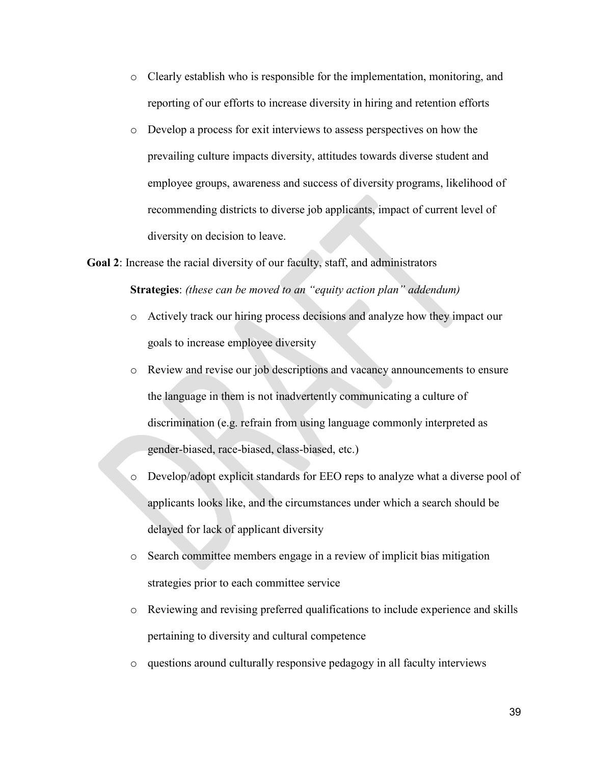- o Clearly establish who is responsible for the implementation, monitoring, and reporting of our efforts to increase diversity in hiring and retention efforts
- o Develop a process for exit interviews to assess perspectives on how the prevailing culture impacts diversity, attitudes towards diverse student and employee groups, awareness and success of diversity programs, likelihood of recommending districts to diverse job applicants, impact of current level of diversity on decision to leave.

**Goal 2**: Increase the racial diversity of our faculty, staff, and administrators **Strategies**: *(these can be moved to an "equity action plan" addendum)*

- o Actively track our hiring process decisions and analyze how they impact our goals to increase employee diversity
- o Review and revise our job descriptions and vacancy announcements to ensure the language in them is not inadvertently communicating a culture of discrimination (e.g. refrain from using language commonly interpreted as gender-biased, race-biased, class-biased, etc.)
- <span id="page-38-1"></span><span id="page-38-0"></span>o Develop/adopt explicit standards for EEO reps to analyze what a diverse pool of applicants looks like, and the circumstances under which a search should be delayed for lack of applicant diversity
- o Search committee members engage in a review of implicit bias mitigation strategies prior to each committee service
- o Reviewing and revising preferred qualifications to include experience and skills pertaining to diversity and cultural competence
- o questions around culturally responsive pedagogy in all faculty interviews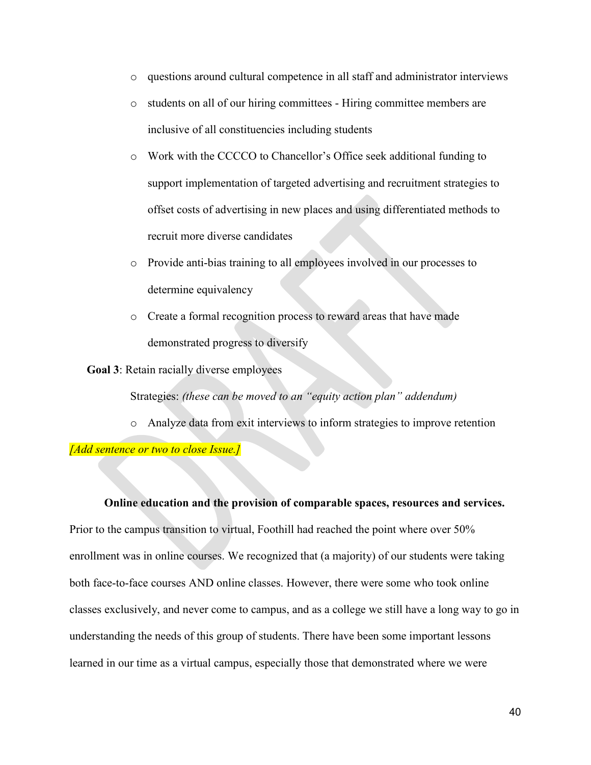- o questions around cultural competence in all staff and administrator interviews
- o students on all of our hiring committees Hiring committee members are inclusive of all constituencies including students
- o Work with the CCCCO to Chancellor's Office seek additional funding to support implementation of targeted advertising and recruitment strategies to offset costs of advertising in new places and using differentiated methods to recruit more diverse candidates
- o Provide anti-bias training to all employees involved in our processes to determine equivalency
- o Create a formal recognition process to reward areas that have made demonstrated progress to diversify

**Goal 3**: Retain racially diverse employees

Strategies: *(these can be moved to an "equity action plan" addendum)*

o Analyze data from exit interviews to inform strategies to improve retention

*[Add sentence or two to close Issue.]*

**Online education and the provision of comparable spaces, resources and services.**  Prior to the campus transition to virtual, Foothill had reached the point where over 50% enrollment was in online courses. We recognized that (a majority) of our students were taking both face-to-face courses AND online classes. However, there were some who took online classes exclusively, and never come to campus, and as a college we still have a long way to go in understanding the needs of this group of students. There have been some important lessons learned in our time as a virtual campus, especially those that demonstrated where we were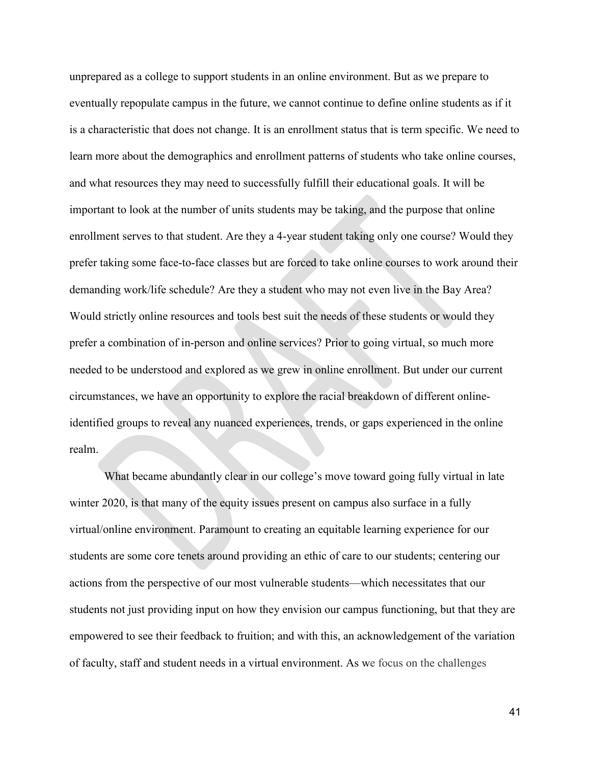unprepared as a college to support students in an online environment. But as we prepare to eventually repopulate campus in the future, we cannot continue to define online students as if it is a characteristic that does not change. It is an enrollment status that is term specific. We need to learn more about the demographics and enrollment patterns of students who take online courses, and what resources they may need to successfully fulfill their educational goals. It will be important to look at the number of units students may be taking, and the purpose that online enrollment serves to that student. Are they a 4-year student taking only one course? Would they prefer taking some face-to-face classes but are forced to take online courses to work around their demanding work/life schedule? Are they a student who may not even live in the Bay Area? Would strictly online resources and tools best suit the needs of these students or would they prefer a combination of in-person and online services? Prior to going virtual, so much more needed to be understood and explored as we grew in online enrollment. But under our current circumstances, we have an opportunity to explore the racial breakdown of different onlineidentified groups to reveal any nuanced experiences, trends, or gaps experienced in the online realm.

What became abundantly clear in our college's move toward going fully virtual in late winter 2020, is that many of the equity issues present on campus also surface in a fully virtual/online environment. Paramount to creating an equitable learning experience for our students are some core tenets around providing an ethic of care to our students; centering our actions from the perspective of our most vulnerable students—which necessitates that our students not just providing input on how they envision our campus functioning, but that they are empowered to see their feedback to fruition; and with this, an acknowledgement of the variation of faculty, staff and student needs in a virtual environment. As we focus on the challenges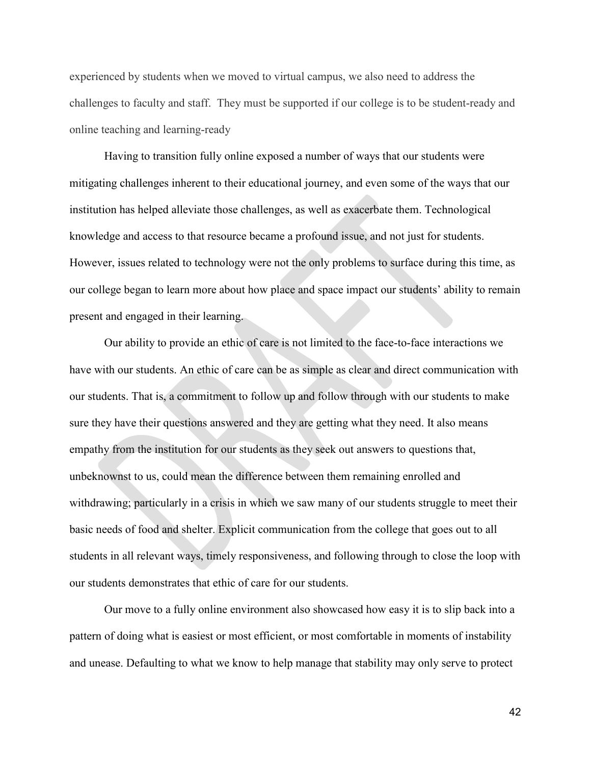experienced by students when we moved to virtual campus, we also need to address the challenges to faculty and staff. They must be supported if our college is to be student-ready and online teaching and learning-ready

Having to transition fully online exposed a number of ways that our students were mitigating challenges inherent to their educational journey, and even some of the ways that our institution has helped alleviate those challenges, as well as exacerbate them. Technological knowledge and access to that resource became a profound issue, and not just for students. However, issues related to technology were not the only problems to surface during this time, as our college began to learn more about how place and space impact our students' ability to remain present and engaged in their learning.

Our ability to provide an ethic of care is not limited to the face-to-face interactions we have with our students. An ethic of care can be as simple as clear and direct communication with our students. That is, a commitment to follow up and follow through with our students to make sure they have their questions answered and they are getting what they need. It also means empathy from the institution for our students as they seek out answers to questions that, unbeknownst to us, could mean the difference between them remaining enrolled and withdrawing; particularly in a crisis in which we saw many of our students struggle to meet their basic needs of food and shelter. Explicit communication from the college that goes out to all students in all relevant ways, timely responsiveness, and following through to close the loop with our students demonstrates that ethic of care for our students.

Our move to a fully online environment also showcased how easy it is to slip back into a pattern of doing what is easiest or most efficient, or most comfortable in moments of instability and unease. Defaulting to what we know to help manage that stability may only serve to protect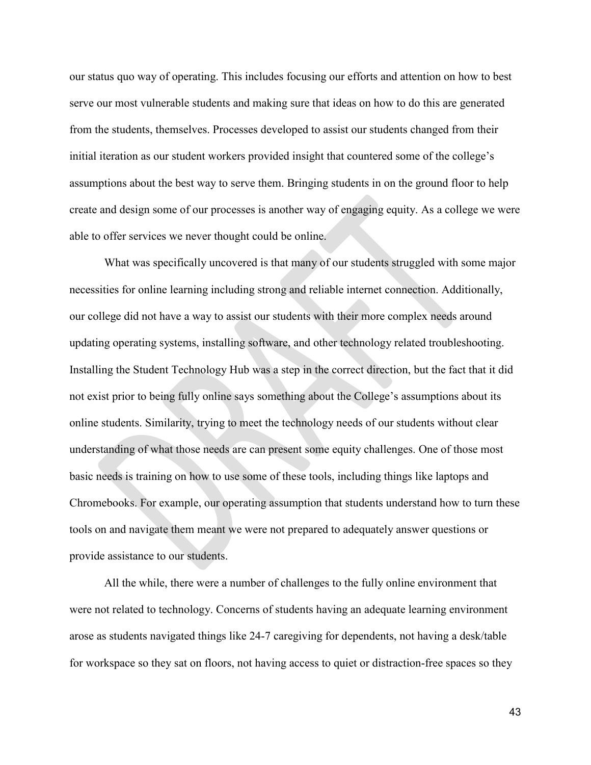our status quo way of operating. This includes focusing our efforts and attention on how to best serve our most vulnerable students and making sure that ideas on how to do this are generated from the students, themselves. Processes developed to assist our students changed from their initial iteration as our student workers provided insight that countered some of the college's assumptions about the best way to serve them. Bringing students in on the ground floor to help create and design some of our processes is another way of engaging equity. As a college we were able to offer services we never thought could be online.

What was specifically uncovered is that many of our students struggled with some major necessities for online learning including strong and reliable internet connection. Additionally, our college did not have a way to assist our students with their more complex needs around updating operating systems, installing software, and other technology related troubleshooting. Installing the Student Technology Hub was a step in the correct direction, but the fact that it did not exist prior to being fully online says something about the College's assumptions about its online students. Similarity, trying to meet the technology needs of our students without clear understanding of what those needs are can present some equity challenges. One of those most basic needs is training on how to use some of these tools, including things like laptops and Chromebooks. For example, our operating assumption that students understand how to turn these tools on and navigate them meant we were not prepared to adequately answer questions or provide assistance to our students.

All the while, there were a number of challenges to the fully online environment that were not related to technology. Concerns of students having an adequate learning environment arose as students navigated things like 24-7 caregiving for dependents, not having a desk/table for workspace so they sat on floors, not having access to quiet or distraction-free spaces so they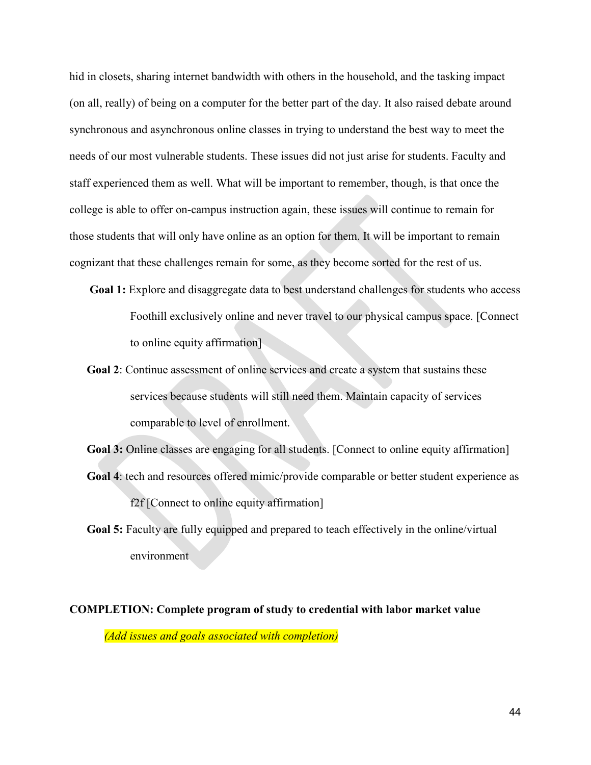hid in closets, sharing internet bandwidth with others in the household, and the tasking impact (on all, really) of being on a computer for the better part of the day. It also raised debate around synchronous and asynchronous online classes in trying to understand the best way to meet the needs of our most vulnerable students. These issues did not just arise for students. Faculty and staff experienced them as well. What will be important to remember, though, is that once the college is able to offer on-campus instruction again, these issues will continue to remain for those students that will only have online as an option for them. It will be important to remain cognizant that these challenges remain for some, as they become sorted for the rest of us.

- Goal 1: Explore and disaggregate data to best understand challenges for students who access Foothill exclusively online and never travel to our physical campus space. [Connect to online equity affirmation]
- **Goal 2**: Continue assessment of online services and create a system that sustains these services because students will still need them. Maintain capacity of services comparable to level of enrollment.
- Goal 3: Online classes are engaging for all students. [Connect to online equity affirmation] **Goal 4**: tech and resources offered mimic/provide comparable or better student experience as f2f [Connect to online equity affirmation]
- **Goal 5:** Faculty are fully equipped and prepared to teach effectively in the online/virtual environment

**COMPLETION: Complete program of study to credential with labor market value** *(Add issues and goals associated with completion)*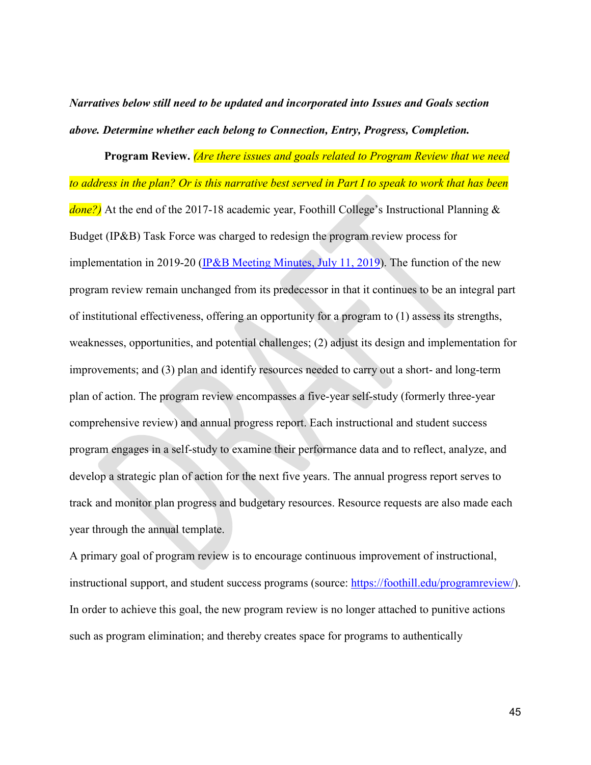*Narratives below still need to be updated and incorporated into Issues and Goals section above. Determine whether each belong to Connection, Entry, Progress, Completion.* 

**Program Review.** *(Are there issues and goals related to Program Review that we need to address in the plan? Or is this narrative best served in Part I to speak to work that has been done?)* At the end of the 2017-18 academic year, Foothill College's Instructional Planning & Budget (IP&B) Task Force was charged to redesign the program review process for implementation in 2019-20 [\(IP&B Meeting Minutes, July 11, 2019\)](https://foothill.edu/gov/ipbp/2018/ipb-minutes-2018-7-11.pdf). The function of the new program review remain unchanged from its predecessor in that it continues to be an integral part of institutional effectiveness, offering an opportunity for a program to (1) assess its strengths, weaknesses, opportunities, and potential challenges; (2) adjust its design and implementation for improvements; and (3) plan and identify resources needed to carry out a short- and long-term plan of action. The program review encompasses a five-year self-study (formerly three-year comprehensive review) and annual progress report. Each instructional and student success program engages in a self-study to examine their performance data and to reflect, analyze, and develop a strategic plan of action for the next five years. The annual progress report serves to track and monitor plan progress and budgetary resources. Resource requests are also made each year through the annual template.

A primary goal of program review is to encourage continuous improvement of instructional, instructional support, and student success programs (source: [https://foothill.edu/programreview/\)](https://foothill.edu/programreview/). In order to achieve this goal, the new program review is no longer attached to punitive actions such as program elimination; and thereby creates space for programs to authentically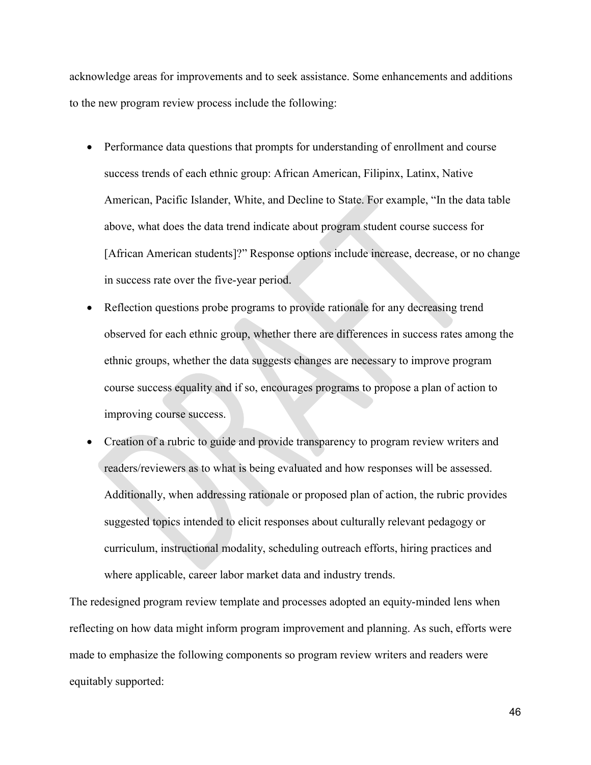acknowledge areas for improvements and to seek assistance. Some enhancements and additions to the new program review process include the following:

- Performance data questions that prompts for understanding of enrollment and course success trends of each ethnic group: African American, Filipinx, Latinx, Native American, Pacific Islander, White, and Decline to State. For example, "In the data table above, what does the data trend indicate about program student course success for [African American students]?" Response options include increase, decrease, or no change in success rate over the five-year period.
- Reflection questions probe programs to provide rationale for any decreasing trend observed for each ethnic group, whether there are differences in success rates among the ethnic groups, whether the data suggests changes are necessary to improve program course success equality and if so, encourages programs to propose a plan of action to improving course success.
- Creation of a rubric to guide and provide transparency to program review writers and readers/reviewers as to what is being evaluated and how responses will be assessed. Additionally, when addressing rationale or proposed plan of action, the rubric provides suggested topics intended to elicit responses about culturally relevant pedagogy or curriculum, instructional modality, scheduling outreach efforts, hiring practices and where applicable, career labor market data and industry trends.

The redesigned program review template and processes adopted an equity-minded lens when reflecting on how data might inform program improvement and planning. As such, efforts were made to emphasize the following components so program review writers and readers were equitably supported: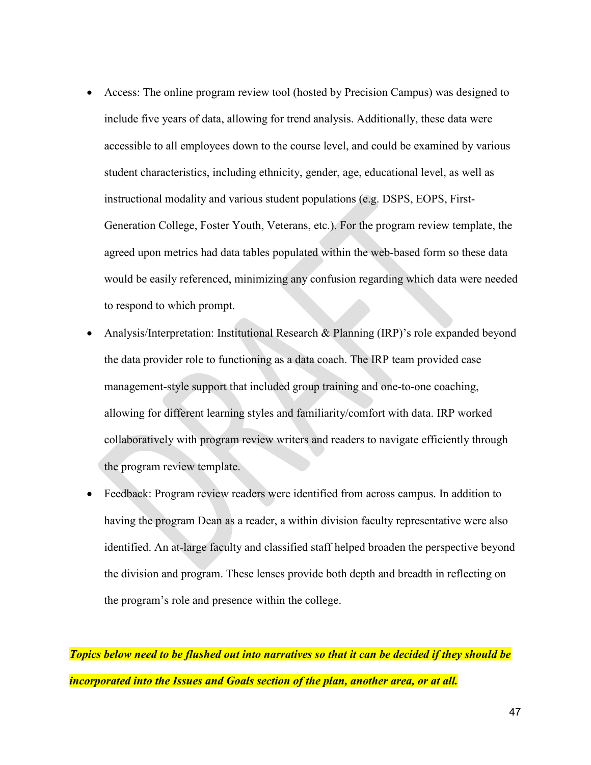- Access: The online program review tool (hosted by Precision Campus) was designed to include five years of data, allowing for trend analysis. Additionally, these data were accessible to all employees down to the course level, and could be examined by various student characteristics, including ethnicity, gender, age, educational level, as well as instructional modality and various student populations (e.g. DSPS, EOPS, First-Generation College, Foster Youth, Veterans, etc.). For the program review template, the agreed upon metrics had data tables populated within the web-based form so these data would be easily referenced, minimizing any confusion regarding which data were needed to respond to which prompt.
- Analysis/Interpretation: Institutional Research & Planning (IRP)'s role expanded beyond the data provider role to functioning as a data coach. The IRP team provided case management-style support that included group training and one-to-one coaching, allowing for different learning styles and familiarity/comfort with data. IRP worked collaboratively with program review writers and readers to navigate efficiently through the program review template.
- Feedback: Program review readers were identified from across campus. In addition to having the program Dean as a reader, a within division faculty representative were also identified. An at-large faculty and classified staff helped broaden the perspective beyond the division and program. These lenses provide both depth and breadth in reflecting on the program's role and presence within the college.

*Topics below need to be flushed out into narratives so that it can be decided if they should be incorporated into the Issues and Goals section of the plan, another area, or at all.*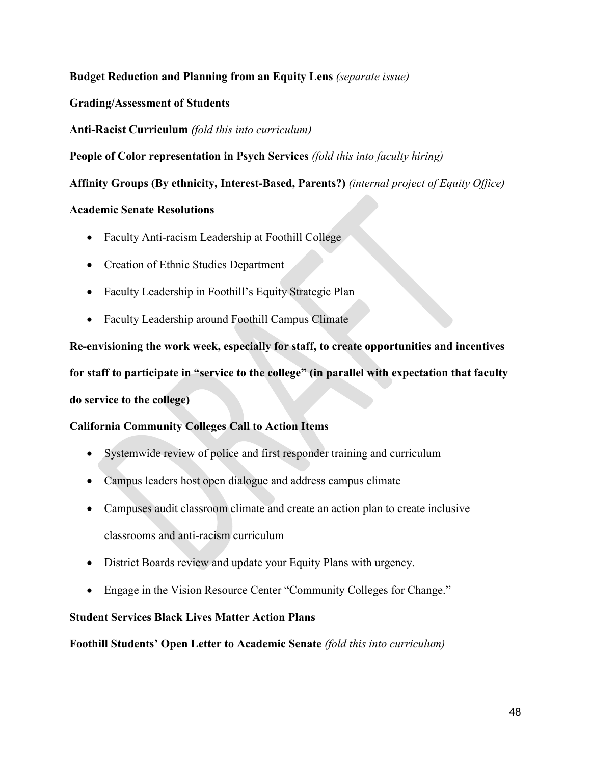# **Budget Reduction and Planning from an Equity Lens** *(separate issue)*

# **Grading/Assessment of Students**

**Anti-Racist Curriculum** *(fold this into curriculum)*

**People of Color representation in Psych Services** *(fold this into faculty hiring)*

**Affinity Groups (By ethnicity, Interest-Based, Parents?)** *(internal project of Equity Office)*

# **Academic Senate Resolutions**

- Faculty Anti-racism Leadership at Foothill College
- Creation of Ethnic Studies Department
- Faculty Leadership in Foothill's Equity Strategic Plan
- Faculty Leadership around Foothill Campus Climate

**Re-envisioning the work week, especially for staff, to create opportunities and incentives for staff to participate in "service to the college" (in parallel with expectation that faculty do service to the college)**

# **California Community Colleges Call to Action Items**

- Systemwide review of police and first responder training and curriculum
- Campus leaders host open dialogue and address campus climate
- Campuses audit classroom climate and create an action plan to create inclusive classrooms and anti-racism curriculum
- District Boards review and update your Equity Plans with urgency.
- Engage in the Vision Resource Center "Community Colleges for Change."

# **Student Services Black Lives Matter Action Plans**

**Foothill Students' Open Letter to Academic Senate** *(fold this into curriculum)*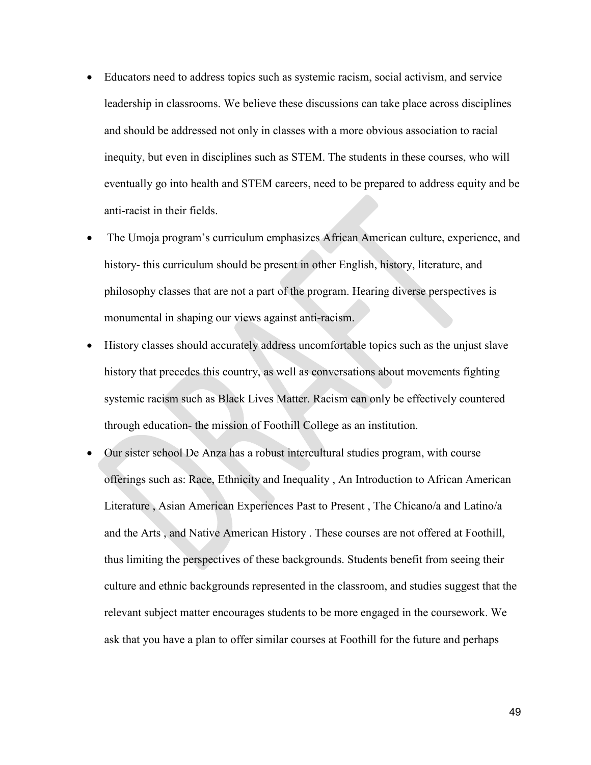- Educators need to address topics such as systemic racism, social activism, and service leadership in classrooms. We believe these discussions can take place across disciplines and should be addressed not only in classes with a more obvious association to racial inequity, but even in disciplines such as STEM. The students in these courses, who will eventually go into health and STEM careers, need to be prepared to address equity and be anti-racist in their fields.
- The Umoja program's curriculum emphasizes African American culture, experience, and history- this curriculum should be present in other English, history, literature, and philosophy classes that are not a part of the program. Hearing diverse perspectives is monumental in shaping our views against anti-racism.
- History classes should accurately address uncomfortable topics such as the unjust slave history that precedes this country, as well as conversations about movements fighting systemic racism such as Black Lives Matter. Racism can only be effectively countered through education- the mission of Foothill College as an institution.
- Our sister school De Anza has a robust intercultural studies program, with course offerings such as: Race, Ethnicity and Inequality , An Introduction to African American Literature , Asian American Experiences Past to Present , The Chicano/a and Latino/a and the Arts , and Native American History . These courses are not offered at Foothill, thus limiting the perspectives of these backgrounds. Students benefit from seeing their culture and ethnic backgrounds represented in the classroom, and studies suggest that the relevant subject matter encourages students to be more engaged in the coursework. We ask that you have a plan to offer similar courses at Foothill for the future and perhaps